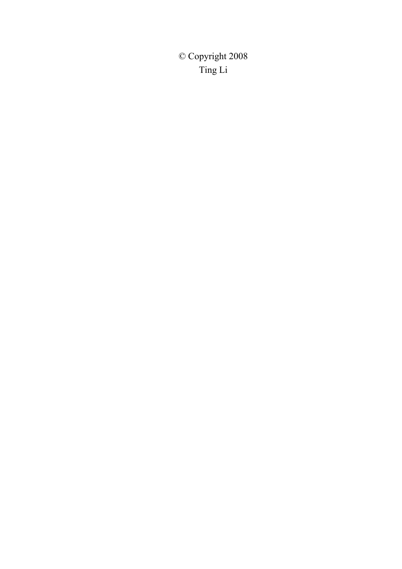© Copyright 2008 Ting Li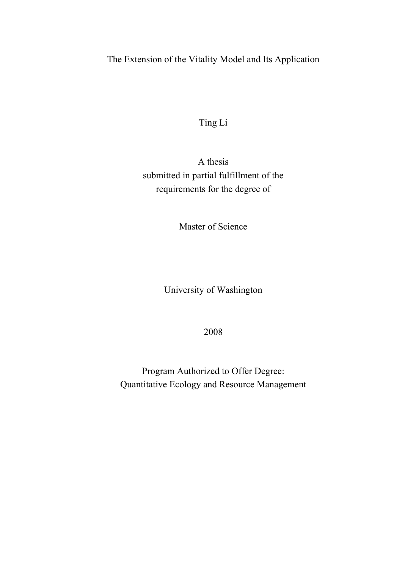# The Extension of the Vitality Model and Its Application

Ting Li

A thesis submitted in partial fulfillment of the requirements for the degree of

Master of Science

University of Washington

2008

Program Authorized to Offer Degree: Quantitative Ecology and Resource Management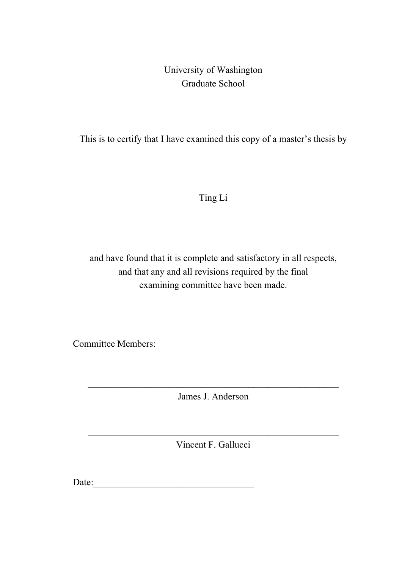# University of Washington Graduate School

This is to certify that I have examined this copy of a master's thesis by

Ting Li

and have found that it is complete and satisfactory in all respects, and that any and all revisions required by the final examining committee have been made.

Committee Members:

James J. Anderson

Vincent F. Gallucci

Date:\_\_\_\_\_\_\_\_\_\_\_\_\_\_\_\_\_\_\_\_\_\_\_\_\_\_\_\_\_\_\_\_\_\_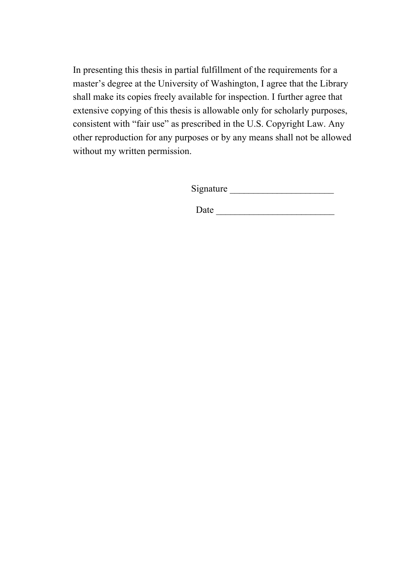In presenting this thesis in partial fulfillment of the requirements for a master's degree at the University of Washington, I agree that the Library shall make its copies freely available for inspection. I further agree that extensive copying of this thesis is allowable only for scholarly purposes, consistent with "fair use" as prescribed in the U.S. Copyright Law. Any other reproduction for any purposes or by any means shall not be allowed without my written permission.

Signature \_\_\_\_\_\_\_\_\_\_\_\_\_\_\_\_\_\_\_\_\_\_

Date  $\Box$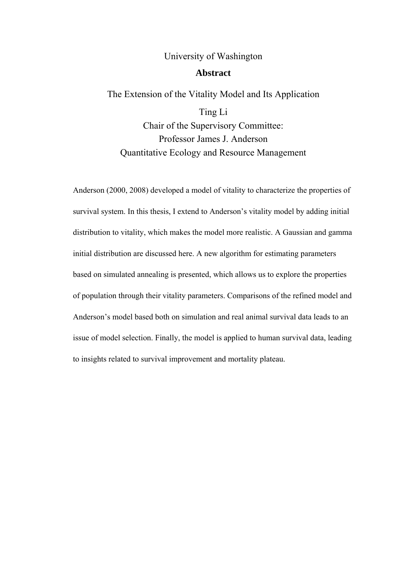## University of Washington

## **Abstract**

# The Extension of the Vitality Model and Its Application

Ting Li Chair of the Supervisory Committee: Professor James J. Anderson Quantitative Ecology and Resource Management

Anderson (2000, 2008) developed a model of vitality to characterize the properties of survival system. In this thesis, I extend to Anderson's vitality model by adding initial distribution to vitality, which makes the model more realistic. A Gaussian and gamma initial distribution are discussed here. A new algorithm for estimating parameters based on simulated annealing is presented, which allows us to explore the properties of population through their vitality parameters. Comparisons of the refined model and Anderson's model based both on simulation and real animal survival data leads to an issue of model selection. Finally, the model is applied to human survival data, leading to insights related to survival improvement and mortality plateau.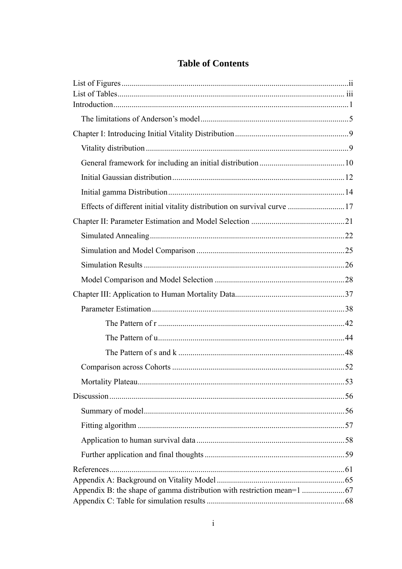# **Table of Contents**

| Effects of different initial vitality distribution on survival curve 17 |  |
|-------------------------------------------------------------------------|--|
|                                                                         |  |
|                                                                         |  |
|                                                                         |  |
|                                                                         |  |
|                                                                         |  |
|                                                                         |  |
|                                                                         |  |
|                                                                         |  |
|                                                                         |  |
|                                                                         |  |
|                                                                         |  |
|                                                                         |  |
|                                                                         |  |
|                                                                         |  |
|                                                                         |  |
|                                                                         |  |
|                                                                         |  |
|                                                                         |  |
|                                                                         |  |
|                                                                         |  |
|                                                                         |  |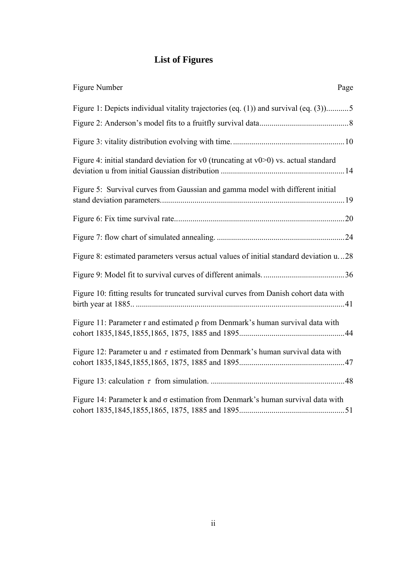# **List of Figures**

| Figure Number<br>Page                                                                    |
|------------------------------------------------------------------------------------------|
| Figure 1: Depicts individual vitality trajectories (eq. (1)) and survival (eq. (3))5     |
|                                                                                          |
|                                                                                          |
| Figure 4: initial standard deviation for v0 (truncating at $v0$ >0) vs. actual standard  |
| Figure 5: Survival curves from Gaussian and gamma model with different initial           |
|                                                                                          |
|                                                                                          |
| Figure 8: estimated parameters versus actual values of initial standard deviation u28    |
|                                                                                          |
| Figure 10: fitting results for truncated survival curves from Danish cohort data with    |
| Figure 11: Parameter r and estimated $\rho$ from Denmark's human survival data with      |
| Figure 12: Parameter u and $\tau$ estimated from Denmark's human survival data with      |
|                                                                                          |
| Figure 14: Parameter $k$ and $\sigma$ estimation from Denmark's human survival data with |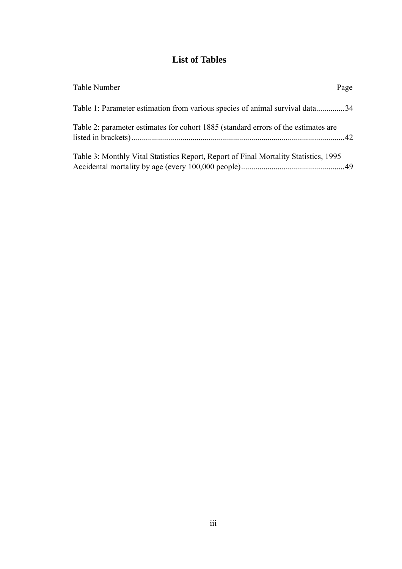# **List of Tables**

| Table Number                                                                         | Page |
|--------------------------------------------------------------------------------------|------|
| Table 1: Parameter estimation from various species of animal survival data34         |      |
| Table 2: parameter estimates for cohort 1885 (standard errors of the estimates are   |      |
| Table 3: Monthly Vital Statistics Report, Report of Final Mortality Statistics, 1995 |      |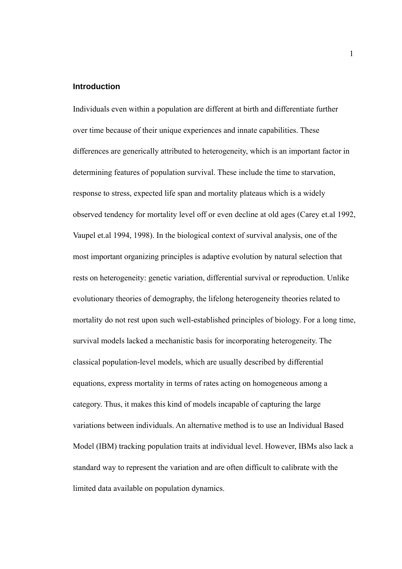#### **Introduction**

Individuals even within a population are different at birth and differentiate further over time because of their unique experiences and innate capabilities. These differences are generically attributed to heterogeneity, which is an important factor in determining features of population survival. These include the time to starvation, response to stress, expected life span and mortality plateaus which is a widely observed tendency for mortality level off or even decline at old ages (Carey et.al 1992, Vaupel et.al 1994, 1998). In the biological context of survival analysis, one of the most important organizing principles is adaptive evolution by natural selection that rests on heterogeneity: genetic variation, differential survival or reproduction. Unlike evolutionary theories of demography, the lifelong heterogeneity theories related to mortality do not rest upon such well-established principles of biology. For a long time, survival models lacked a mechanistic basis for incorporating heterogeneity. The classical population-level models, which are usually described by differential equations, express mortality in terms of rates acting on homogeneous among a category. Thus, it makes this kind of models incapable of capturing the large variations between individuals. An alternative method is to use an Individual Based Model (IBM) tracking population traits at individual level. However, IBMs also lack a standard way to represent the variation and are often difficult to calibrate with the limited data available on population dynamics.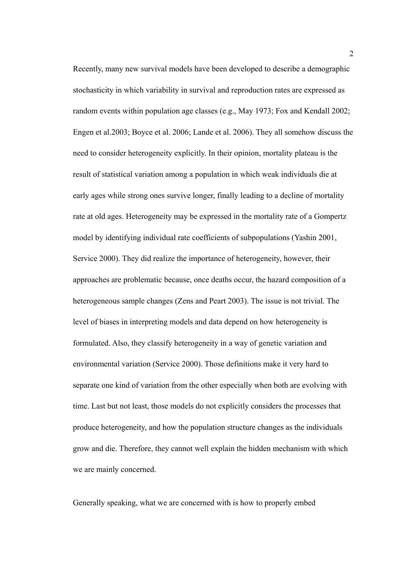Recently, many new survival models have been developed to describe a demographic stochasticity in which variability in survival and reproduction rates are expressed as random events within population age classes (e.g., May 1973; Fox and Kendall 2002; Engen et al.2003; Boyce et al. 2006; Lande et al. 2006). They all somehow discuss the need to consider heterogeneity explicitly. In their opinion, mortality plateau is the result of statistical variation among a population in which weak individuals die at early ages while strong ones survive longer, finally leading to a decline of mortality rate at old ages. Heterogeneity may be expressed in the mortality rate of a Gompertz model by identifying individual rate coefficients of subpopulations (Yashin 2001, Service 2000). They did realize the importance of heterogeneity, however, their approaches are problematic because, once deaths occur, the hazard composition of a heterogeneous sample changes (Zens and Peart 2003). The issue is not trivial. The level of biases in interpreting models and data depend on how heterogeneity is formulated. Also, they classify heterogeneity in a way of genetic variation and environmental variation (Service 2000). Those definitions make it very hard to separate one kind of variation from the other especially when both are evolving with time. Last but not least, those models do not explicitly considers the processes that produce heterogeneity, and how the population structure changes as the individuals grow and die. Therefore, they cannot well explain the hidden mechanism with which we are mainly concerned.

Generally speaking, what we are concerned with is how to properly embed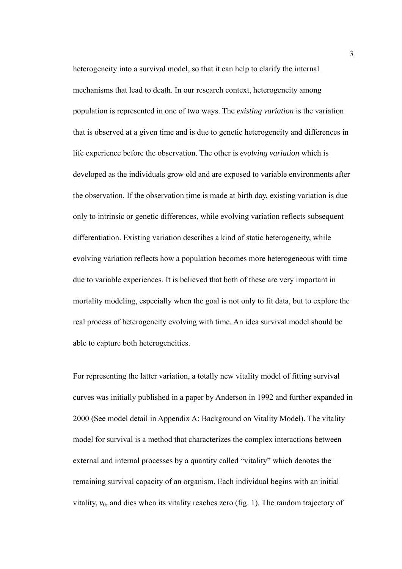heterogeneity into a survival model, so that it can help to clarify the internal mechanisms that lead to death. In our research context, heterogeneity among population is represented in one of two ways. The *existing variation* is the variation that is observed at a given time and is due to genetic heterogeneity and differences in life experience before the observation. The other is *evolving variation* which is developed as the individuals grow old and are exposed to variable environments after the observation. If the observation time is made at birth day, existing variation is due only to intrinsic or genetic differences, while evolving variation reflects subsequent differentiation. Existing variation describes a kind of static heterogeneity, while evolving variation reflects how a population becomes more heterogeneous with time due to variable experiences. It is believed that both of these are very important in mortality modeling, especially when the goal is not only to fit data, but to explore the real process of heterogeneity evolving with time. An idea survival model should be able to capture both heterogeneities.

For representing the latter variation, a totally new vitality model of fitting survival curves was initially published in a paper by Anderson in 1992 and further expanded in 2000 (See model detail in Appendix A: Background on Vitality Model). The vitality model for survival is a method that characterizes the complex interactions between external and internal processes by a quantity called "vitality" which denotes the remaining survival capacity of an organism. Each individual begins with an initial vitality,  $v_0$ , and dies when its vitality reaches zero (fig. 1). The random trajectory of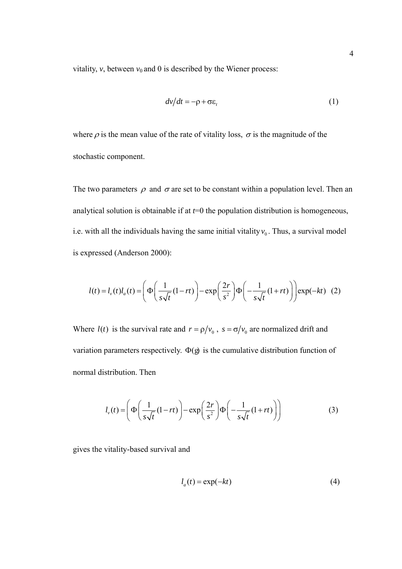vitality,  $v$ , between  $v_0$  and 0 is described by the Wiener process:

$$
dv/dt = -\rho + \sigma \varepsilon_t \tag{1}
$$

where  $\rho$  is the mean value of the rate of vitality loss,  $\sigma$  is the magnitude of the stochastic component.

The two parameters  $\rho$  and  $\sigma$  are set to be constant within a population level. Then an analytical solution is obtainable if at  $t=0$  the population distribution is homogeneous, i.e. with all the individuals having the same initial vitality  $v_0$ . Thus, a survival model is expressed (Anderson 2000):

$$
l(t) = l_{\nu}(t)l_a(t) = \left(\Phi\left(\frac{1}{s\sqrt{t}}(1-rt)\right) - \exp\left(\frac{2r}{s^2}\right)\Phi\left(-\frac{1}{s\sqrt{t}}(1+rt)\right)\right) \exp(-kt) \quad (2)
$$

Where  $l(t)$  is the survival rate and  $r = \rho / v_0$ ,  $s = \sigma / v_0$  are normalized drift and variation parameters respectively.  $\Phi(g)$  is the cumulative distribution function of normal distribution. Then

$$
l_{v}(t) = \left(\Phi\left(\frac{1}{s\sqrt{t}}(1-rt)\right) - \exp\left(\frac{2r}{s^{2}}\right)\Phi\left(-\frac{1}{s\sqrt{t}}(1+rt)\right)\right)
$$
(3)

gives the vitality-based survival and

$$
l_a(t) = \exp(-kt) \tag{4}
$$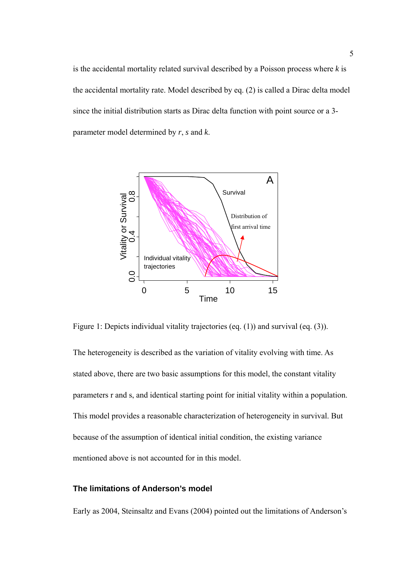is the accidental mortality related survival described by a Poisson process where *k* is the accidental mortality rate. Model described by eq. (2) is called a Dirac delta model since the initial distribution starts as Dirac delta function with point source or a 3 parameter model determined by *r*, *s* and *k*.



Figure 1: Depicts individual vitality trajectories (eq. (1)) and survival (eq. (3)).

The heterogeneity is described as the variation of vitality evolving with time. As stated above, there are two basic assumptions for this model, the constant vitality parameters r and s, and identical starting point for initial vitality within a population. This model provides a reasonable characterization of heterogeneity in survival. But because of the assumption of identical initial condition, the existing variance mentioned above is not accounted for in this model.

## **The limitations of Anderson's model**

Early as 2004, Steinsaltz and Evans (2004) pointed out the limitations of Anderson's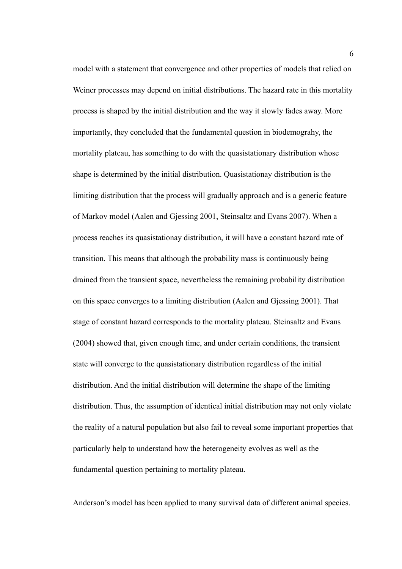model with a statement that convergence and other properties of models that relied on Weiner processes may depend on initial distributions. The hazard rate in this mortality process is shaped by the initial distribution and the way it slowly fades away. More importantly, they concluded that the fundamental question in biodemograhy, the mortality plateau, has something to do with the quasistationary distribution whose shape is determined by the initial distribution. Quasistationay distribution is the limiting distribution that the process will gradually approach and is a generic feature of Markov model (Aalen and Gjessing 2001, Steinsaltz and Evans 2007). When a process reaches its quasistationay distribution, it will have a constant hazard rate of transition. This means that although the probability mass is continuously being drained from the transient space, nevertheless the remaining probability distribution on this space converges to a limiting distribution (Aalen and Gjessing 2001). That stage of constant hazard corresponds to the mortality plateau. Steinsaltz and Evans (2004) showed that, given enough time, and under certain conditions, the transient state will converge to the quasistationary distribution regardless of the initial distribution. And the initial distribution will determine the shape of the limiting distribution. Thus, the assumption of identical initial distribution may not only violate the reality of a natural population but also fail to reveal some important properties that particularly help to understand how the heterogeneity evolves as well as the fundamental question pertaining to mortality plateau.

Anderson's model has been applied to many survival data of different animal species.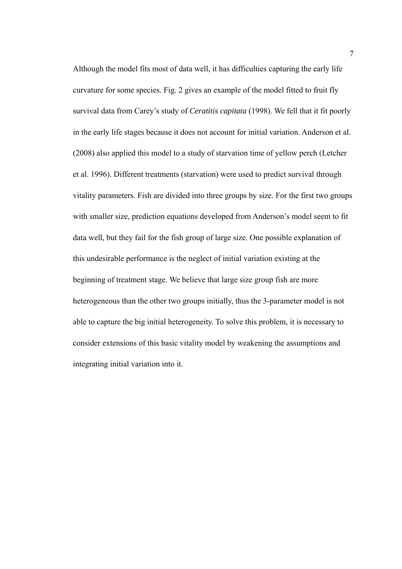Although the model fits most of data well, it has difficulties capturing the early life curvature for some species. Fig. 2 gives an example of the model fitted to fruit fly survival data from Carey's study of *Ceratitis capitata* (1998). We fell that it fit poorly in the early life stages because it does not account for initial variation. Anderson et al. (2008) also applied this model to a study of starvation time of yellow perch (Letcher et al. 1996). Different treatments (starvation) were used to predict survival through vitality parameters. Fish are divided into three groups by size. For the first two groups with smaller size, prediction equations developed from Anderson's model seem to fit data well, but they fail for the fish group of large size. One possible explanation of this undesirable performance is the neglect of initial variation existing at the beginning of treatment stage. We believe that large size group fish are more heterogeneous than the other two groups initially, thus the 3-parameter model is not able to capture the big initial heterogeneity. To solve this problem, it is necessary to consider extensions of this basic vitality model by weakening the assumptions and integrating initial variation into it.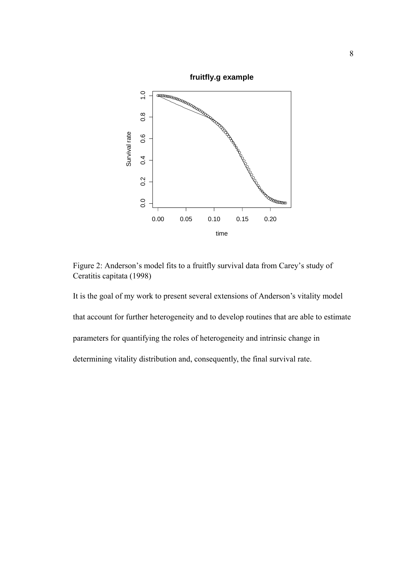

Figure 2: Anderson's model fits to a fruitfly survival data from Carey's study of Ceratitis capitata (1998)

It is the goal of my work to present several extensions of Anderson's vitality model that account for further heterogeneity and to develop routines that are able to estimate parameters for quantifying the roles of heterogeneity and intrinsic change in determining vitality distribution and, consequently, the final survival rate.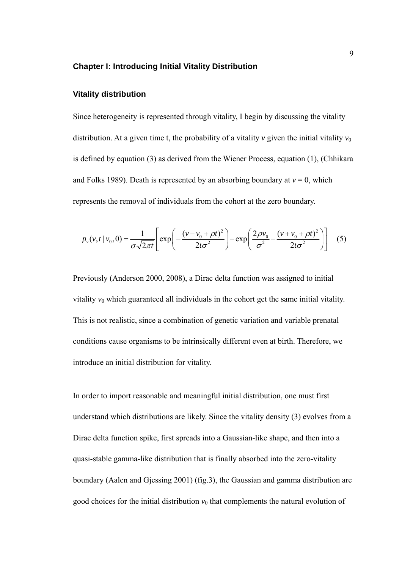#### **Chapter I: Introducing Initial Vitality Distribution**

#### **Vitality distribution**

Since heterogeneity is represented through vitality, I begin by discussing the vitality distribution. At a given time t, the probability of a vitality  $\nu$  given the initial vitality  $\nu_0$ is defined by equation (3) as derived from the Wiener Process, equation (1), (Chhikara and Folks 1989). Death is represented by an absorbing boundary at  $v = 0$ , which represents the removal of individuals from the cohort at the zero boundary.

$$
p_{\nu}(v, t | v_0, 0) = \frac{1}{\sigma \sqrt{2\pi t}} \left[ \exp\left( -\frac{(v - v_0 + \rho t)^2}{2t \sigma^2} \right) - \exp\left( \frac{2\rho v_0}{\sigma^2} - \frac{(v + v_0 + \rho t)^2}{2t \sigma^2} \right) \right] (5)
$$

Previously (Anderson 2000, 2008), a Dirac delta function was assigned to initial vitality  $v_0$  which guaranteed all individuals in the cohort get the same initial vitality. This is not realistic, since a combination of genetic variation and variable prenatal conditions cause organisms to be intrinsically different even at birth. Therefore, we introduce an initial distribution for vitality.

In order to import reasonable and meaningful initial distribution, one must first understand which distributions are likely. Since the vitality density (3) evolves from a Dirac delta function spike, first spreads into a Gaussian-like shape, and then into a quasi-stable gamma-like distribution that is finally absorbed into the zero-vitality boundary (Aalen and Gjessing 2001) (fig.3), the Gaussian and gamma distribution are good choices for the initial distribution  $v_0$  that complements the natural evolution of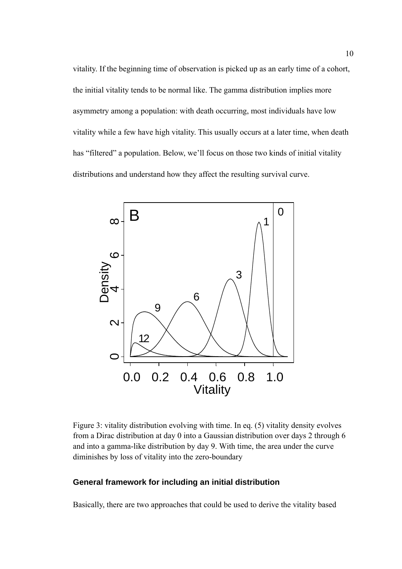vitality. If the beginning time of observation is picked up as an early time of a cohort, the initial vitality tends to be normal like. The gamma distribution implies more asymmetry among a population: with death occurring, most individuals have low vitality while a few have high vitality. This usually occurs at a later time, when death has "filtered" a population. Below, we'll focus on those two kinds of initial vitality distributions and understand how they affect the resulting survival curve.



Figure 3: vitality distribution evolving with time. In eq. (5) vitality density evolves from a Dirac distribution at day 0 into a Gaussian distribution over days 2 through 6 and into a gamma-like distribution by day 9. With time, the area under the curve diminishes by loss of vitality into the zero-boundary

#### **General framework for including an initial distribution**

Basically, there are two approaches that could be used to derive the vitality based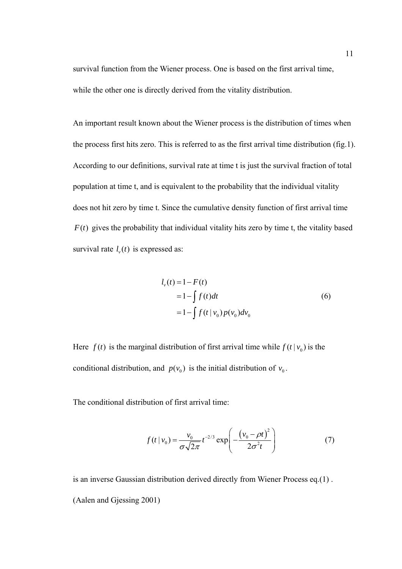survival function from the Wiener process. One is based on the first arrival time, while the other one is directly derived from the vitality distribution.

An important result known about the Wiener process is the distribution of times when the process first hits zero. This is referred to as the first arrival time distribution (fig.1). According to our definitions, survival rate at time t is just the survival fraction of total population at time t, and is equivalent to the probability that the individual vitality does not hit zero by time t. Since the cumulative density function of first arrival time  $F(t)$  gives the probability that individual vitality hits zero by time t, the vitality based survival rate  $l_n(t)$  is expressed as:

$$
l_v(t) = 1 - F(t)
$$
  
= 1 -  $\int f(t)dt$   
= 1 -  $\int f(t | v_0) p(v_0) dv_0$  (6)

Here  $f(t)$  is the marginal distribution of first arrival time while  $f(t | v_0)$  is the conditional distribution, and  $p(v_0)$  is the initial distribution of  $v_0$ .

The conditional distribution of first arrival time:

$$
f(t | v_0) = \frac{v_0}{\sigma \sqrt{2\pi}} t^{-2/3} \exp\left(-\frac{(v_0 - \rho t)^2}{2\sigma^2 t}\right)
$$
 (7)

is an inverse Gaussian distribution derived directly from Wiener Process eq.(1) . (Aalen and Gjessing 2001)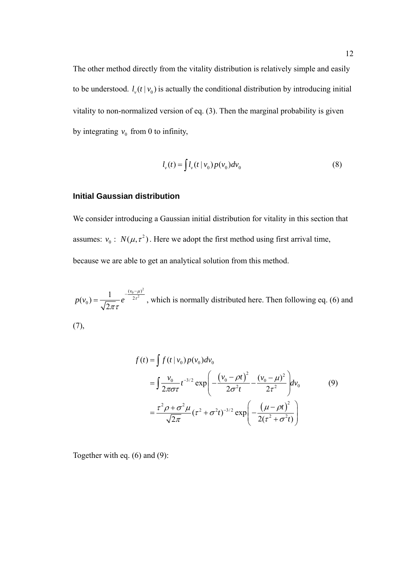The other method directly from the vitality distribution is relatively simple and easily to be understood.  $l_v(t | v_0)$  is actually the conditional distribution by introducing initial vitality to non-normalized version of eq. (3). Then the marginal probability is given by integrating  $v_0$  from 0 to infinity,

$$
l_{\nu}(t) = \int l_{\nu}(t \mid v_0) p(v_0) dv_0 \tag{8}
$$

#### **Initial Gaussian distribution**

We consider introducing a Gaussian initial distribution for vitality in this section that assumes:  $v_0$ :  $N(\mu, \tau^2)$ . Here we adopt the first method using first arrival time, because we are able to get an analytical solution from this method.

 $\frac{(v_0 - \mu)^2}{2\sigma^2}$  $e_0$ ) =  $\frac{1}{\sqrt{2}}$  e  $^2$  $(v_0) = \frac{1}{\sqrt{2\pi}\tau}e^{-\frac{(v_0)^2}{2\sqrt{\tau}}}$  $p(v_0) = \frac{1}{\sqrt{v_0 - \mu}} e^{-\frac{(v_0 - \mu)}{2\tau^2}}$ τ πτ  $-\frac{(v_0 =\frac{1}{\sqrt{2\pi}}e^{-2\tau^2}$ , which is normally distributed here. Then following eq. (6) and (7),

$$
f(t) = \int f(t | v_0) p(v_0) dv_0
$$
  
= 
$$
\int \frac{v_0}{2\pi \sigma \tau} t^{-3/2} \exp\left(-\frac{(v_0 - \rho t)^2}{2\sigma^2 t} - \frac{(v_0 - \mu)^2}{2\tau^2}\right) dv_0
$$
 (9)  
= 
$$
\frac{\tau^2 \rho + \sigma^2 \mu}{\sqrt{2\pi}} (\tau^2 + \sigma^2 t)^{-3/2} \exp\left(-\frac{(\mu - \rho t)^2}{2(\tau^2 + \sigma^2 t)}\right)
$$

Together with eq. (6) and (9):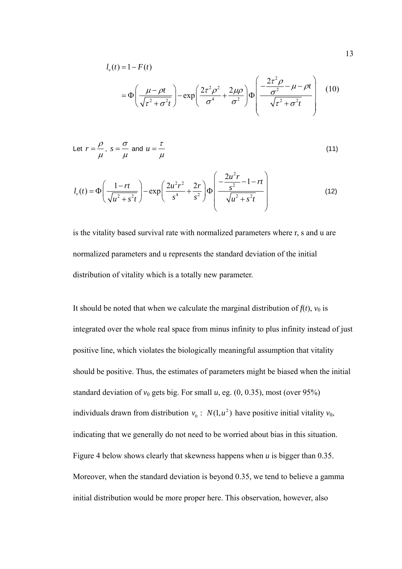$$
l_{\nu}(t) = 1 - F(t)
$$
  
=  $\Phi\left(\frac{\mu - \rho t}{\sqrt{\tau^2 + \sigma^2 t}}\right) - \exp\left(\frac{2\tau^2 \rho^2}{\sigma^4} + \frac{2\mu \rho}{\sigma^2}\right) \Phi\left(\frac{-\frac{2\tau^2 \rho}{\sigma^2} - \mu - \rho t}{\sqrt{\tau^2 + \sigma^2 t}}\right)$  (10)

Let 
$$
r = \frac{\rho}{\mu}
$$
,  $s = \frac{\sigma}{\mu}$  and  $u = \frac{\tau}{\mu}$  (11)

$$
l_{\nu}(t) = \Phi\left(\frac{1-rt}{\sqrt{u^2+s^2t}}\right) - \exp\left(\frac{2u^2r^2}{s^4} + \frac{2r}{s^2}\right)\Phi\left(\frac{-\frac{2u^2r}{s^2}-1-rt}{\sqrt{u^2+s^2t}}\right)
$$
(12)

is the vitality based survival rate with normalized parameters where r, s and u are normalized parameters and u represents the standard deviation of the initial distribution of vitality which is a totally new parameter.

It should be noted that when we calculate the marginal distribution of  $f(t)$ ,  $v_0$  is integrated over the whole real space from minus infinity to plus infinity instead of just positive line, which violates the biologically meaningful assumption that vitality should be positive. Thus, the estimates of parameters might be biased when the initial standard deviation of  $v_0$  gets big. For small  $u$ , eg.  $(0, 0.35)$ , most (over 95%) individuals drawn from distribution  $v_0$ :  $N(1, u^2)$  have positive initial vitality  $v_0$ , indicating that we generally do not need to be worried about bias in this situation. Figure 4 below shows clearly that skewness happens when *u* is bigger than 0.35. Moreover, when the standard deviation is beyond 0.35, we tend to believe a gamma initial distribution would be more proper here. This observation, however, also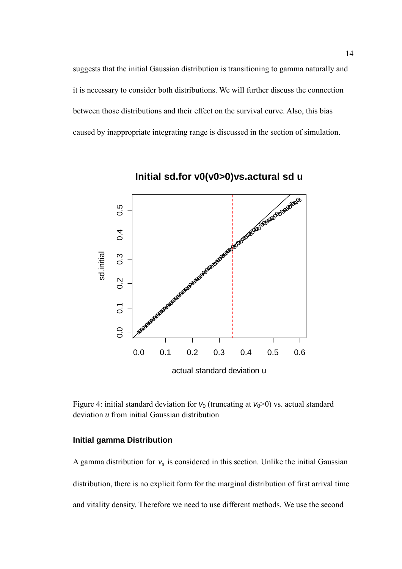suggests that the initial Gaussian distribution is transitioning to gamma naturally and it is necessary to consider both distributions. We will further discuss the connection between those distributions and their effect on the survival curve. Also, this bias caused by inappropriate integrating range is discussed in the section of simulation.



Figure 4: initial standard deviation for  $v_0$  (truncating at  $v_0$ >0) vs. actual standard deviation *u* from initial Gaussian distribution

## **Initial gamma Distribution**

A gamma distribution for  $v_0$  is considered in this section. Unlike the initial Gaussian distribution, there is no explicit form for the marginal distribution of first arrival time and vitality density. Therefore we need to use different methods. We use the second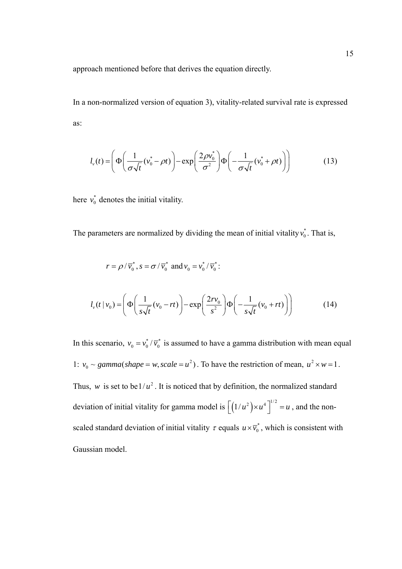approach mentioned before that derives the equation directly.

In a non-normalized version of equation 3), vitality-related survival rate is expressed as:

$$
l_{\nu}(t) = \left(\Phi\left(\frac{1}{\sigma\sqrt{t}}(v_0^* - \rho t)\right) - \exp\left(\frac{2\rho v_0^*}{\sigma^2}\right)\Phi\left(-\frac{1}{\sigma\sqrt{t}}(v_0^* + \rho t)\right)\right) \tag{13}
$$

here  $v_0^*$  denotes the initial vitality.

The parameters are normalized by dividing the mean of initial vitality  $v_0^*$ . That is,

$$
r = \rho/\overline{v}_0^*, s = \sigma/\overline{v}_0^* \text{ and } v_0 = v_0^*/\overline{v}_0^*:
$$
  

$$
l_v(t \mid v_0) = \left(\Phi\left(\frac{1}{s\sqrt{t}}(v_0 - rt)\right) - \exp\left(\frac{2rv_0}{s^2}\right)\Phi\left(-\frac{1}{s\sqrt{t}}(v_0 + rt)\right)\right)
$$
(14)

In this scenario,  $v_0 = v_0^* / \overline{v_0^*}$  is assumed to have a gamma distribution with mean equal 1:  $v_0 \sim gamma(shape = w, scale = u^2)$ . To have the restriction of mean,  $u^2 \times w = 1$ . Thus, *w* is set to be  $1/u^2$ . It is noticed that by definition, the normalized standard deviation of initial vitality for gamma model is  $\left[ \left( 1/u^2 \right) \times u^4 \right]^{1/2} = u$ , and the nonscaled standard deviation of initial vitality  $\tau$  equals  $u \times \overline{v}_0^*$ , which is consistent with Gaussian model.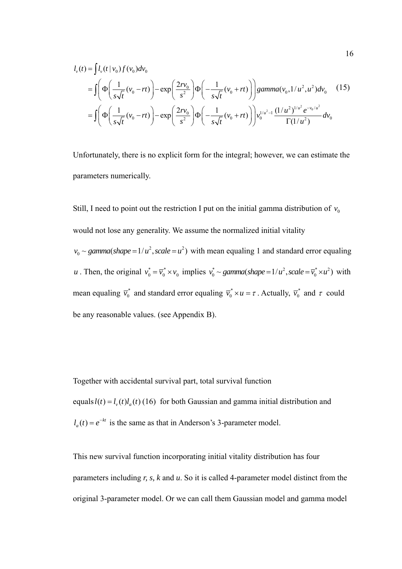$$
l_{v}(t) = \int l_{v}(t | v_{0}) f(v_{0}) dv_{0}
$$
  
= 
$$
\int \left( \Phi \left( \frac{1}{s\sqrt{t}} (v_{0} - rt) \right) - \exp \left( \frac{2rv_{0}}{s^{2}} \right) \Phi \left( -\frac{1}{s\sqrt{t}} (v_{0} + rt) \right) \right) \text{gamma}(v_{0}, 1/u^{2}, u^{2}) dv_{0}
$$
 (15)  
= 
$$
\int \left( \Phi \left( \frac{1}{s\sqrt{t}} (v_{0} - rt) \right) - \exp \left( \frac{2rv_{0}}{s^{2}} \right) \Phi \left( -\frac{1}{s\sqrt{t}} (v_{0} + rt) \right) \right) v_{0}^{1/u^{2} - 1} \frac{(1/u^{2})^{1/u^{2}} e^{-v_{0}/u^{2}}}{\Gamma(1/u^{2})} dv_{0}
$$

Unfortunately, there is no explicit form for the integral; however, we can estimate the parameters numerically.

Still, I need to point out the restriction I put on the initial gamma distribution of  $v_0$ would not lose any generality. We assume the normalized initial vitality  $v_0 \sim gamma(shape = 1/u^2, scale = u^2)$  with mean equaling 1 and standard error equaling *u*. Then, the original  $v_0^* = \overline{v_0}^* \times v_0$  implies  $v_0^* \sim gamma(shape = 1/u^2, scale = \overline{v_0}^* \times u^2)$  with mean equaling  $\overline{v}_0^*$  and standard error equaling  $\overline{v}_0^* \times u = \tau$ . Actually,  $\overline{v}_0^*$  and  $\tau$  could be any reasonable values. (see Appendix B).

Together with accidental survival part, total survival function equals  $l(t) = l_v(t)l_a(t)$  (16) for both Gaussian and gamma initial distribution and  $l_a(t) = e^{-kt}$  is the same as that in Anderson's 3-parameter model.

This new survival function incorporating initial vitality distribution has four parameters including *r, s, k* and *u*. So it is called 4-parameter model distinct from the original 3-parameter model. Or we can call them Gaussian model and gamma model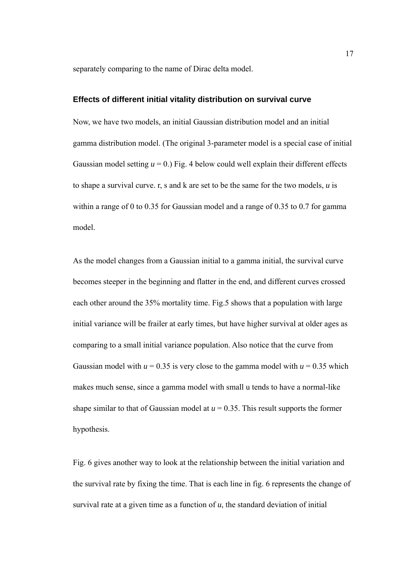separately comparing to the name of Dirac delta model.

#### **Effects of different initial vitality distribution on survival curve**

Now, we have two models, an initial Gaussian distribution model and an initial gamma distribution model. (The original 3-parameter model is a special case of initial Gaussian model setting  $u = 0$ .) Fig. 4 below could well explain their different effects to shape a survival curve. r, s and k are set to be the same for the two models, *u* is within a range of 0 to 0.35 for Gaussian model and a range of 0.35 to 0.7 for gamma model.

As the model changes from a Gaussian initial to a gamma initial, the survival curve becomes steeper in the beginning and flatter in the end, and different curves crossed each other around the 35% mortality time. Fig.5 shows that a population with large initial variance will be frailer at early times, but have higher survival at older ages as comparing to a small initial variance population. Also notice that the curve from Gaussian model with  $u = 0.35$  is very close to the gamma model with  $u = 0.35$  which makes much sense, since a gamma model with small u tends to have a normal-like shape similar to that of Gaussian model at  $u = 0.35$ . This result supports the former hypothesis.

Fig. 6 gives another way to look at the relationship between the initial variation and the survival rate by fixing the time. That is each line in fig. 6 represents the change of survival rate at a given time as a function of *u*, the standard deviation of initial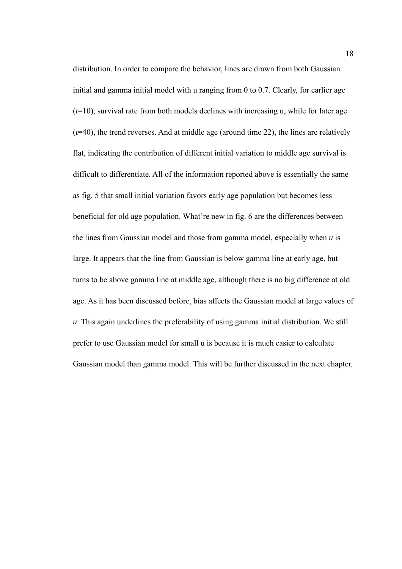distribution. In order to compare the behavior, lines are drawn from both Gaussian initial and gamma initial model with u ranging from 0 to 0.7. Clearly, for earlier age (*t*=10), survival rate from both models declines with increasing u, while for later age (*t*=40), the trend reverses. And at middle age (around time 22), the lines are relatively flat, indicating the contribution of different initial variation to middle age survival is difficult to differentiate. All of the information reported above is essentially the same as fig. 5 that small initial variation favors early age population but becomes less beneficial for old age population. What're new in fig. 6 are the differences between the lines from Gaussian model and those from gamma model, especially when *u* is large. It appears that the line from Gaussian is below gamma line at early age, but turns to be above gamma line at middle age, although there is no big difference at old age. As it has been discussed before, bias affects the Gaussian model at large values of *u*. This again underlines the preferability of using gamma initial distribution. We still prefer to use Gaussian model for small u is because it is much easier to calculate Gaussian model than gamma model. This will be further discussed in the next chapter.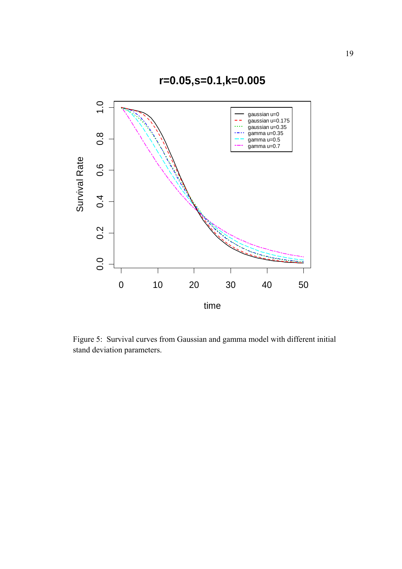

Figure 5: Survival curves from Gaussian and gamma model with different initial stand deviation parameters.

**r=0.05,s=0.1,k=0.005**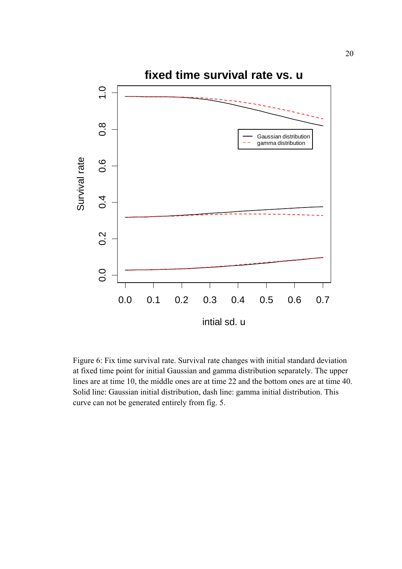

Figure 6: Fix time survival rate. Survival rate changes with initial standard deviation at fixed time point for initial Gaussian and gamma distribution separately. The upper lines are at time 10, the middle ones are at time 22 and the bottom ones are at time 40. Solid line: Gaussian initial distribution, dash line: gamma initial distribution. This curve can not be generated entirely from fig. 5.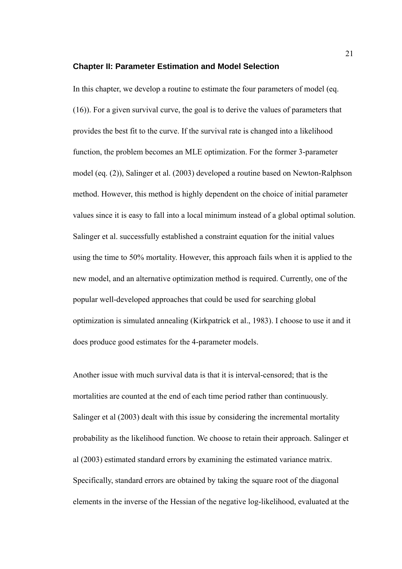#### **Chapter II: Parameter Estimation and Model Selection**

In this chapter, we develop a routine to estimate the four parameters of model (eq. (16)). For a given survival curve, the goal is to derive the values of parameters that provides the best fit to the curve. If the survival rate is changed into a likelihood function, the problem becomes an MLE optimization. For the former 3-parameter model (eq. (2)), Salinger et al. (2003) developed a routine based on Newton-Ralphson method. However, this method is highly dependent on the choice of initial parameter values since it is easy to fall into a local minimum instead of a global optimal solution. Salinger et al. successfully established a constraint equation for the initial values using the time to 50% mortality. However, this approach fails when it is applied to the new model, and an alternative optimization method is required. Currently, one of the popular well-developed approaches that could be used for searching global optimization is simulated annealing (Kirkpatrick et al., 1983). I choose to use it and it does produce good estimates for the 4-parameter models.

Another issue with much survival data is that it is interval-censored; that is the mortalities are counted at the end of each time period rather than continuously. Salinger et al (2003) dealt with this issue by considering the incremental mortality probability as the likelihood function. We choose to retain their approach. Salinger et al (2003) estimated standard errors by examining the estimated variance matrix. Specifically, standard errors are obtained by taking the square root of the diagonal elements in the inverse of the Hessian of the negative log-likelihood, evaluated at the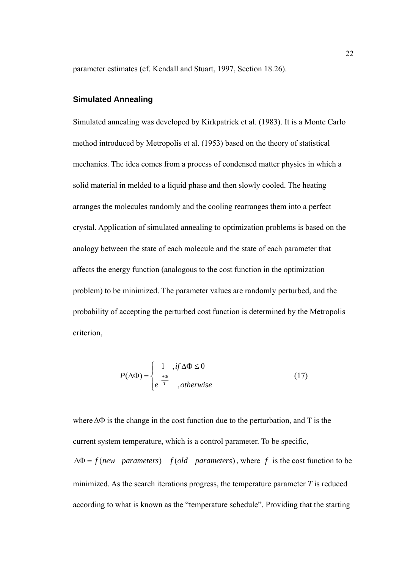parameter estimates (cf. Kendall and Stuart, 1997, Section 18.26).

## **Simulated Annealing**

Simulated annealing was developed by Kirkpatrick et al. (1983). It is a Monte Carlo method introduced by Metropolis et al. (1953) based on the theory of statistical mechanics. The idea comes from a process of condensed matter physics in which a solid material in melded to a liquid phase and then slowly cooled. The heating arranges the molecules randomly and the cooling rearranges them into a perfect crystal. Application of simulated annealing to optimization problems is based on the analogy between the state of each molecule and the state of each parameter that affects the energy function (analogous to the cost function in the optimization problem) to be minimized. The parameter values are randomly perturbed, and the probability of accepting the perturbed cost function is determined by the Metropolis criterion,

$$
P(\Delta \Phi) = \begin{cases} 1, & \text{if } \Delta \Phi \le 0 \\ e^{\frac{\Delta \Phi}{T}}, & \text{otherwise} \end{cases}
$$
 (17)

where∆Φ is the change in the cost function due to the perturbation, and T is the current system temperature, which is a control parameter. To be specific,  $\Delta \Phi = f(new parameters) - f (old parameters)$ , where *f* is the cost function to be minimized. As the search iterations progress, the temperature parameter *T* is reduced according to what is known as the "temperature schedule". Providing that the starting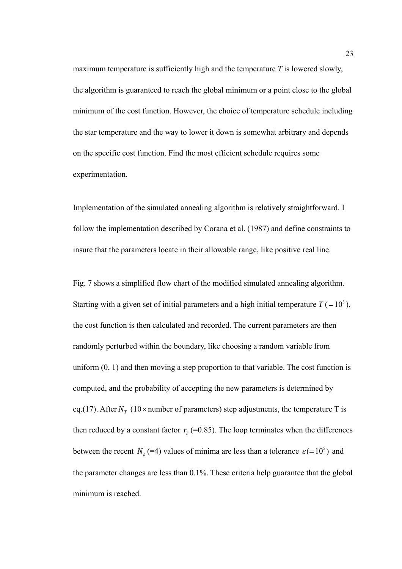maximum temperature is sufficiently high and the temperature *T* is lowered slowly, the algorithm is guaranteed to reach the global minimum or a point close to the global minimum of the cost function. However, the choice of temperature schedule including the star temperature and the way to lower it down is somewhat arbitrary and depends on the specific cost function. Find the most efficient schedule requires some experimentation.

Implementation of the simulated annealing algorithm is relatively straightforward. I follow the implementation described by Corana et al. (1987) and define constraints to insure that the parameters locate in their allowable range, like positive real line.

Fig. 7 shows a simplified flow chart of the modified simulated annealing algorithm. Starting with a given set of initial parameters and a high initial temperature  $T = (10<sup>3</sup>)$ , the cost function is then calculated and recorded. The current parameters are then randomly perturbed within the boundary, like choosing a random variable from uniform  $(0, 1)$  and then moving a step proportion to that variable. The cost function is computed, and the probability of accepting the new parameters is determined by eq.(17). After  $N_T$  (10 × number of parameters) step adjustments, the temperature T is then reduced by a constant factor  $r<sub>T</sub>$  (=0.85). The loop terminates when the differences between the recent *N<sub>ε</sub>* (=4) values of minima are less than a tolerance  $\varepsilon$  (=10<sup>5</sup>) and the parameter changes are less than 0.1%. These criteria help guarantee that the global minimum is reached.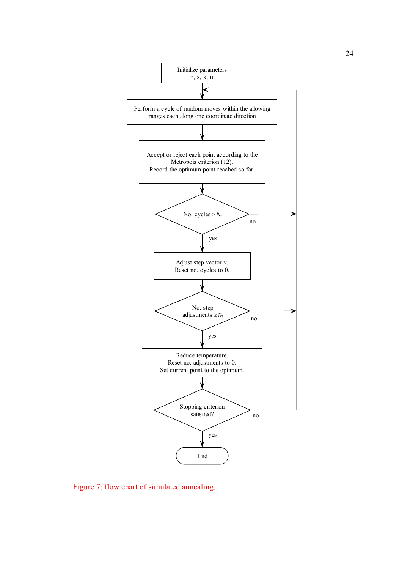

Figure 7: flow chart of simulated annealing.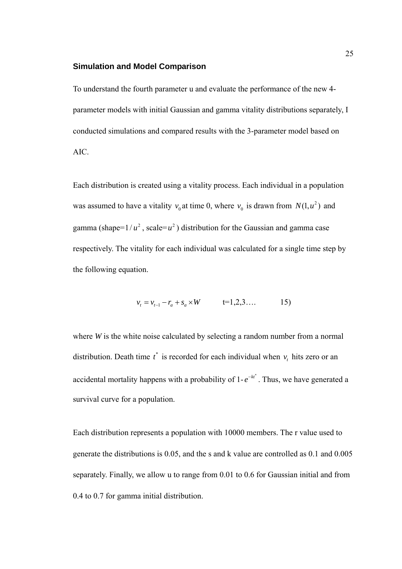#### **Simulation and Model Comparison**

To understand the fourth parameter u and evaluate the performance of the new 4 parameter models with initial Gaussian and gamma vitality distributions separately, I conducted simulations and compared results with the 3-parameter model based on AIC.

Each distribution is created using a vitality process. Each individual in a population was assumed to have a vitality  $v_0$  at time 0, where  $v_0$  is drawn from  $N(1, u^2)$  and gamma (shape= $1/u^2$ , scale= $u^2$ ) distribution for the Gaussian and gamma case respectively. The vitality for each individual was calculated for a single time step by the following equation.

$$
v_t = v_{t-1} - r_a + s_a \times W \qquad \qquad t = 1, 2, 3, \dots \qquad \qquad 15)
$$

where *W* is the white noise calculated by selecting a random number from a normal distribution. Death time  $t^*$  is recorded for each individual when  $v_t$  hits zero or an accidental mortality happens with a probability of  $1-e^{-kt^*}$ . Thus, we have generated a survival curve for a population.

Each distribution represents a population with 10000 members. The r value used to generate the distributions is 0.05, and the s and k value are controlled as 0.1 and 0.005 separately. Finally, we allow u to range from 0.01 to 0.6 for Gaussian initial and from 0.4 to 0.7 for gamma initial distribution.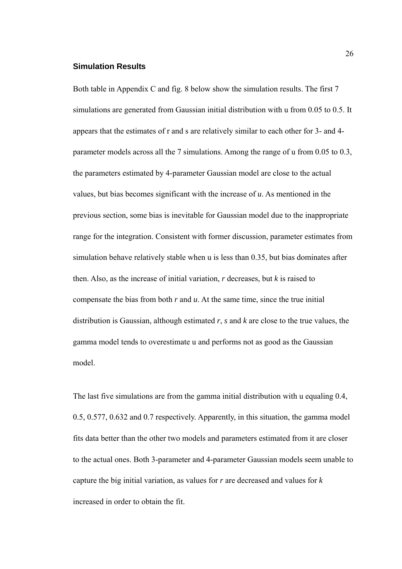#### **Simulation Results**

Both table in Appendix C and fig. 8 below show the simulation results. The first 7 simulations are generated from Gaussian initial distribution with u from 0.05 to 0.5. It appears that the estimates of r and s are relatively similar to each other for 3- and 4 parameter models across all the 7 simulations. Among the range of u from 0.05 to 0.3, the parameters estimated by 4-parameter Gaussian model are close to the actual values, but bias becomes significant with the increase of *u*. As mentioned in the previous section, some bias is inevitable for Gaussian model due to the inappropriate range for the integration. Consistent with former discussion, parameter estimates from simulation behave relatively stable when u is less than 0.35, but bias dominates after then. Also, as the increase of initial variation, *r* decreases, but *k* is raised to compensate the bias from both *r* and *u*. At the same time, since the true initial distribution is Gaussian, although estimated *r*, *s* and *k* are close to the true values, the gamma model tends to overestimate u and performs not as good as the Gaussian model.

The last five simulations are from the gamma initial distribution with u equaling 0.4, 0.5, 0.577, 0.632 and 0.7 respectively. Apparently, in this situation, the gamma model fits data better than the other two models and parameters estimated from it are closer to the actual ones. Both 3-parameter and 4-parameter Gaussian models seem unable to capture the big initial variation, as values for *r* are decreased and values for *k*  increased in order to obtain the fit.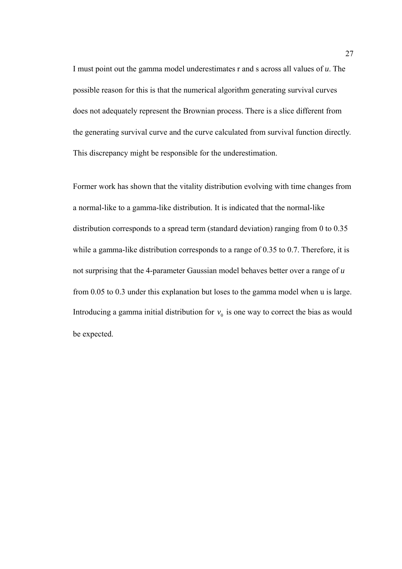I must point out the gamma model underestimates r and s across all values of *u*. The possible reason for this is that the numerical algorithm generating survival curves does not adequately represent the Brownian process. There is a slice different from the generating survival curve and the curve calculated from survival function directly. This discrepancy might be responsible for the underestimation.

Former work has shown that the vitality distribution evolving with time changes from a normal-like to a gamma-like distribution. It is indicated that the normal-like distribution corresponds to a spread term (standard deviation) ranging from 0 to 0.35 while a gamma-like distribution corresponds to a range of 0.35 to 0.7. Therefore, it is not surprising that the 4-parameter Gaussian model behaves better over a range of *u* from 0.05 to 0.3 under this explanation but loses to the gamma model when u is large. Introducing a gamma initial distribution for  $v_0$  is one way to correct the bias as would be expected.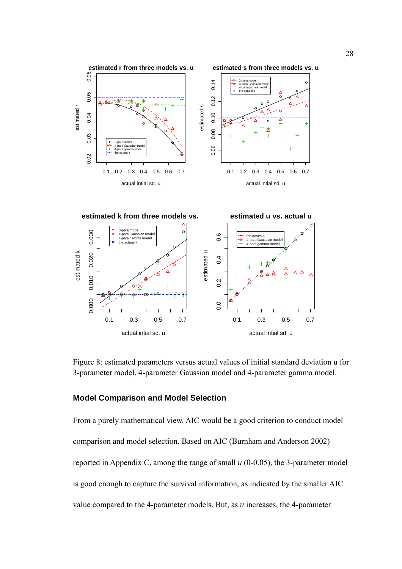

Figure 8: estimated parameters versus actual values of initial standard deviation u for 3-parameter model, 4-parameter Gaussian model and 4-parameter gamma model.

## **Model Comparison and Model Selection**

From a purely mathematical view, AIC would be a good criterion to conduct model comparison and model selection. Based on AIC (Burnham and Anderson 2002) reported in Appendix C, among the range of small *u* (0-0.05), the 3-parameter model is good enough to capture the survival information, as indicated by the smaller AIC value compared to the 4-parameter models. But, as *u* increases, the 4-parameter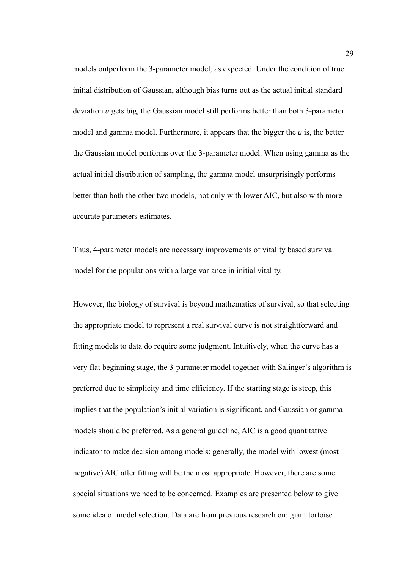models outperform the 3-parameter model, as expected. Under the condition of true initial distribution of Gaussian, although bias turns out as the actual initial standard deviation *u* gets big, the Gaussian model still performs better than both 3-parameter model and gamma model. Furthermore, it appears that the bigger the *u* is, the better the Gaussian model performs over the 3-parameter model. When using gamma as the actual initial distribution of sampling, the gamma model unsurprisingly performs better than both the other two models, not only with lower AIC, but also with more accurate parameters estimates.

Thus, 4-parameter models are necessary improvements of vitality based survival model for the populations with a large variance in initial vitality.

However, the biology of survival is beyond mathematics of survival, so that selecting the appropriate model to represent a real survival curve is not straightforward and fitting models to data do require some judgment. Intuitively, when the curve has a very flat beginning stage, the 3-parameter model together with Salinger's algorithm is preferred due to simplicity and time efficiency. If the starting stage is steep, this implies that the population's initial variation is significant, and Gaussian or gamma models should be preferred. As a general guideline, AIC is a good quantitative indicator to make decision among models: generally, the model with lowest (most negative) AIC after fitting will be the most appropriate. However, there are some special situations we need to be concerned. Examples are presented below to give some idea of model selection. Data are from previous research on: giant tortoise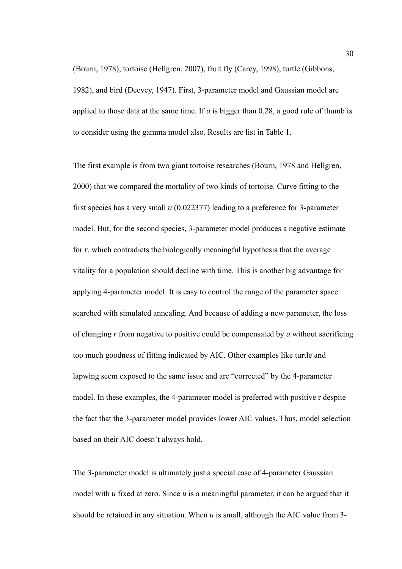(Bourn, 1978), tortoise (Hellgren, 2007), fruit fly (Carey, 1998), turtle (Gibbons, 1982), and bird (Deevey, 1947). First, 3-parameter model and Gaussian model are applied to those data at the same time. If *u* is bigger than 0.28, a good rule of thumb is to consider using the gamma model also. Results are list in Table 1.

The first example is from two giant tortoise researches (Bourn, 1978 and Hellgren, 2000) that we compared the mortality of two kinds of tortoise. Curve fitting to the first species has a very small *u* (0.022377) leading to a preference for 3-parameter model. But, for the second species, 3-parameter model produces a negative estimate for *r*, which contradicts the biologically meaningful hypothesis that the average vitality for a population should decline with time. This is another big advantage for applying 4-parameter model. It is easy to control the range of the parameter space searched with simulated annealing. And because of adding a new parameter, the loss of changing *r* from negative to positive could be compensated by *u* without sacrificing too much goodness of fitting indicated by AIC. Other examples like turtle and lapwing seem exposed to the same issue and are "corrected" by the 4-parameter model. In these examples, the 4-parameter model is preferred with positive r despite the fact that the 3-parameter model provides lower AIC values. Thus, model selection based on their AIC doesn't always hold.

The 3-parameter model is ultimately just a special case of 4-parameter Gaussian model with *u* fixed at zero. Since *u* is a meaningful parameter, it can be argued that it should be retained in any situation. When *u* is small, although the AIC value from 3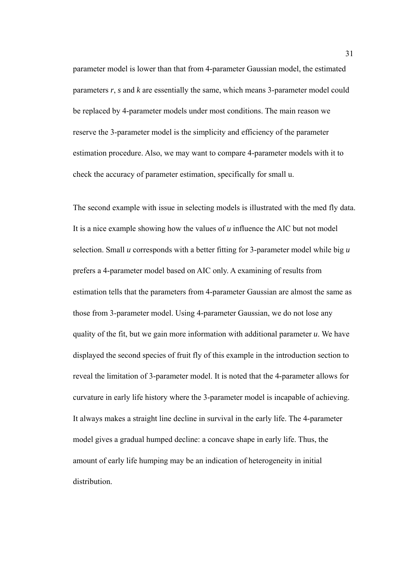parameter model is lower than that from 4-parameter Gaussian model, the estimated parameters *r*, *s* and *k* are essentially the same, which means 3-parameter model could be replaced by 4-parameter models under most conditions. The main reason we reserve the 3-parameter model is the simplicity and efficiency of the parameter estimation procedure. Also, we may want to compare 4-parameter models with it to check the accuracy of parameter estimation, specifically for small u.

The second example with issue in selecting models is illustrated with the med fly data. It is a nice example showing how the values of *u* influence the AIC but not model selection. Small *u* corresponds with a better fitting for 3-parameter model while big *u*  prefers a 4-parameter model based on AIC only. A examining of results from estimation tells that the parameters from 4-parameter Gaussian are almost the same as those from 3-parameter model. Using 4-parameter Gaussian, we do not lose any quality of the fit, but we gain more information with additional parameter *u*. We have displayed the second species of fruit fly of this example in the introduction section to reveal the limitation of 3-parameter model. It is noted that the 4-parameter allows for curvature in early life history where the 3-parameter model is incapable of achieving. It always makes a straight line decline in survival in the early life. The 4-parameter model gives a gradual humped decline: a concave shape in early life. Thus, the amount of early life humping may be an indication of heterogeneity in initial distribution.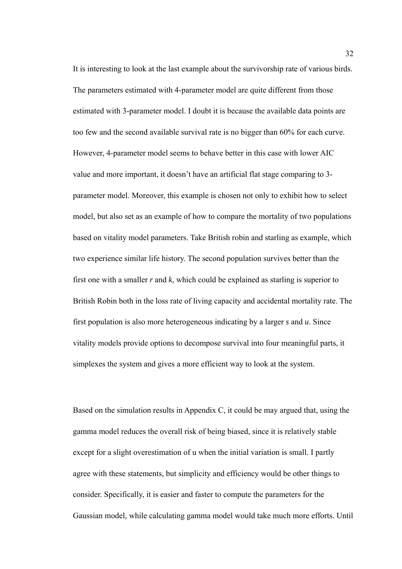It is interesting to look at the last example about the survivorship rate of various birds. The parameters estimated with 4-parameter model are quite different from those estimated with 3-parameter model. I doubt it is because the available data points are too few and the second available survival rate is no bigger than 60% for each curve. However, 4-parameter model seems to behave better in this case with lower AIC value and more important, it doesn't have an artificial flat stage comparing to 3 parameter model. Moreover, this example is chosen not only to exhibit how to select model, but also set as an example of how to compare the mortality of two populations based on vitality model parameters. Take British robin and starling as example, which two experience similar life history. The second population survives better than the first one with a smaller *r* and *k*, which could be explained as starling is superior to British Robin both in the loss rate of living capacity and accidental mortality rate. The first population is also more heterogeneous indicating by a larger *s* and *u*. Since vitality models provide options to decompose survival into four meaningful parts, it simplexes the system and gives a more efficient way to look at the system.

Based on the simulation results in Appendix C, it could be may argued that, using the gamma model reduces the overall risk of being biased, since it is relatively stable except for a slight overestimation of u when the initial variation is small. I partly agree with these statements, but simplicity and efficiency would be other things to consider. Specifically, it is easier and faster to compute the parameters for the Gaussian model, while calculating gamma model would take much more efforts. Until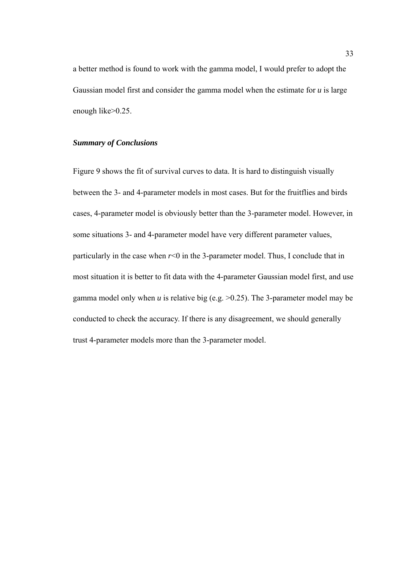a better method is found to work with the gamma model, I would prefer to adopt the Gaussian model first and consider the gamma model when the estimate for *u* is large enough like>0.25.

# *Summary of Conclusions*

Figure 9 shows the fit of survival curves to data. It is hard to distinguish visually between the 3- and 4-parameter models in most cases. But for the fruitflies and birds cases, 4-parameter model is obviously better than the 3-parameter model. However, in some situations 3- and 4-parameter model have very different parameter values, particularly in the case when  $r<0$  in the 3-parameter model. Thus, I conclude that in most situation it is better to fit data with the 4-parameter Gaussian model first, and use gamma model only when *u* is relative big (e.g. >0.25). The 3-parameter model may be conducted to check the accuracy. If there is any disagreement, we should generally trust 4-parameter models more than the 3-parameter model.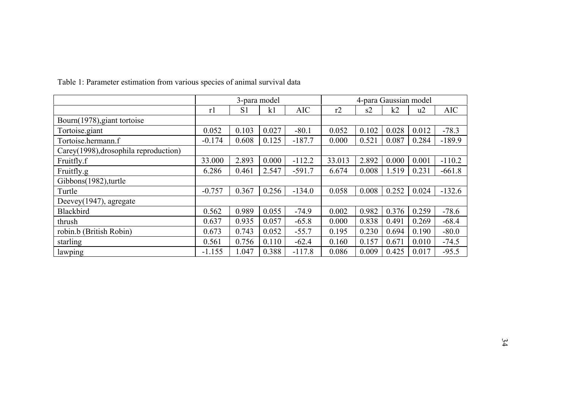|                                       | 3-para model |                |       |            | 4-para Gaussian model |       |       |       |            |
|---------------------------------------|--------------|----------------|-------|------------|-----------------------|-------|-------|-------|------------|
|                                       | r1           | S <sub>1</sub> | k1    | <b>AIC</b> | r2                    | s2    | k2    | u2    | <b>AIC</b> |
| Bourn(1978), giant tortoise           |              |                |       |            |                       |       |       |       |            |
| Tortoise giant                        | 0.052        | 0.103          | 0.027 | $-80.1$    | 0.052                 | 0.102 | 0.028 | 0.012 | $-78.3$    |
| Tortoise.hermann.f                    | $-0.174$     | 0.608          | 0.125 | $-187.7$   | 0.000                 | 0.521 | 0.087 | 0.284 | $-189.9$   |
| Carey(1998), drosophila reproduction) |              |                |       |            |                       |       |       |       |            |
| Fruitfly.f                            | 33.000       | 2.893          | 0.000 | $-112.2$   | 33.013                | 2.892 | 0.000 | 0.001 | $-110.2$   |
| Fruitfly.g                            | 6.286        | 0.461          | 2.547 | $-591.7$   | 6.674                 | 0.008 | 1.519 | 0.231 | $-661.8$   |
| Gibbons(1982), turtle                 |              |                |       |            |                       |       |       |       |            |
| Turtle                                | $-0.757$     | 0.367          | 0.256 | $-134.0$   | 0.058                 | 0.008 | 0.252 | 0.024 | $-132.6$   |
| Deevey(1947), agregate                |              |                |       |            |                       |       |       |       |            |
| <b>Blackbird</b>                      | 0.562        | 0.989          | 0.055 | $-74.9$    | 0.002                 | 0.982 | 0.376 | 0.259 | $-78.6$    |
| thrush                                | 0.637        | 0.935          | 0.057 | $-65.8$    | 0.000                 | 0.838 | 0.491 | 0.269 | $-68.4$    |
| robin.b (British Robin)               | 0.673        | 0.743          | 0.052 | $-55.7$    | 0.195                 | 0.230 | 0.694 | 0.190 | $-80.0$    |
| starling                              | 0.561        | 0.756          | 0.110 | $-62.4$    | 0.160                 | 0.157 | 0.671 | 0.010 | $-74.5$    |
| lawping                               | $-1.155$     | 1.047          | 0.388 | $-117.8$   | 0.086                 | 0.009 | 0.425 | 0.017 | $-95.5$    |

Table 1: Parameter estimation from various species of animal survival data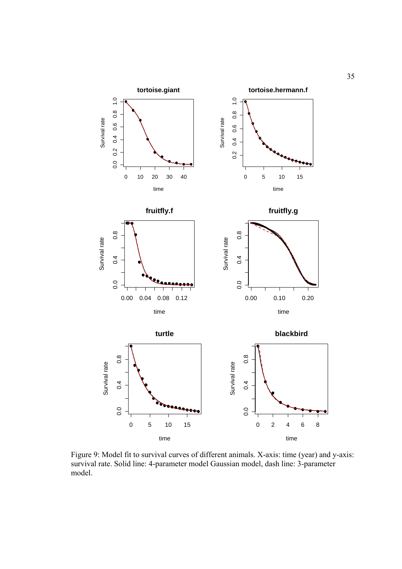

Figure 9: Model fit to survival curves of different animals. X-axis: time (year) and y-axis: survival rate. Solid line: 4-parameter model Gaussian model, dash line: 3-parameter model.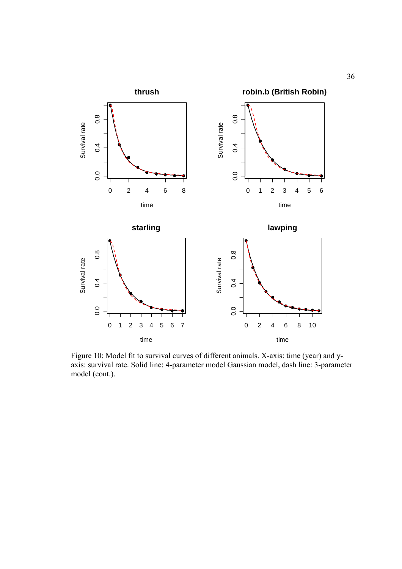

Figure 10: Model fit to survival curves of different animals. X-axis: time (year) and yaxis: survival rate. Solid line: 4-parameter model Gaussian model, dash line: 3-parameter model (cont.).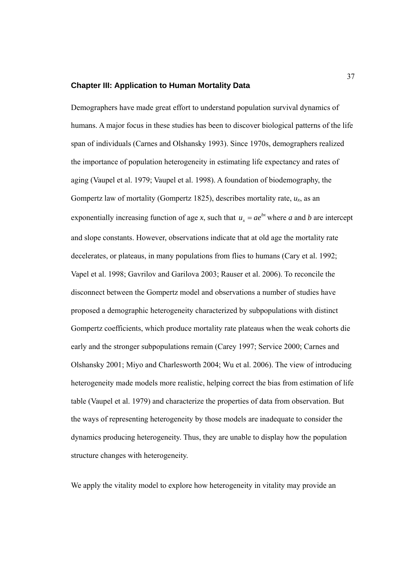## **Chapter III: Application to Human Mortality Data**

Demographers have made great effort to understand population survival dynamics of humans. A major focus in these studies has been to discover biological patterns of the life span of individuals (Carnes and Olshansky 1993). Since 1970s, demographers realized the importance of population heterogeneity in estimating life expectancy and rates of aging (Vaupel et al. 1979; Vaupel et al. 1998). A foundation of biodemography, the Gompertz law of mortality (Gompertz 1825), describes mortality rate,  $u_x$ , as an exponentially increasing function of age *x*, such that  $u_x = ae^{bx}$  where *a* and *b* are intercept and slope constants. However, observations indicate that at old age the mortality rate decelerates, or plateaus, in many populations from flies to humans (Cary et al. 1992; Vapel et al. 1998; Gavrilov and Garilova 2003; Rauser et al. 2006). To reconcile the disconnect between the Gompertz model and observations a number of studies have proposed a demographic heterogeneity characterized by subpopulations with distinct Gompertz coefficients, which produce mortality rate plateaus when the weak cohorts die early and the stronger subpopulations remain (Carey 1997; Service 2000; Carnes and Olshansky 2001; Miyo and Charlesworth 2004; Wu et al. 2006). The view of introducing heterogeneity made models more realistic, helping correct the bias from estimation of life table (Vaupel et al. 1979) and characterize the properties of data from observation. But the ways of representing heterogeneity by those models are inadequate to consider the dynamics producing heterogeneity. Thus, they are unable to display how the population structure changes with heterogeneity.

We apply the vitality model to explore how heterogeneity in vitality may provide an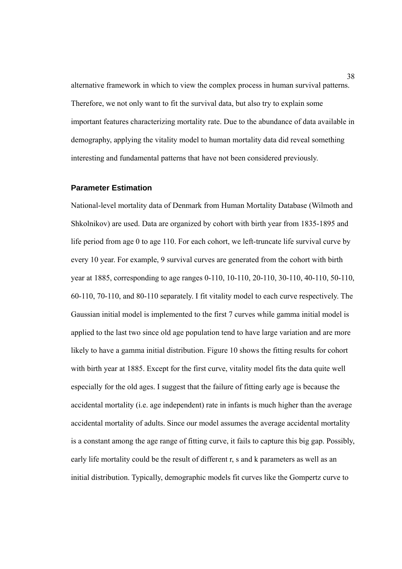alternative framework in which to view the complex process in human survival patterns. Therefore, we not only want to fit the survival data, but also try to explain some important features characterizing mortality rate. Due to the abundance of data available in demography, applying the vitality model to human mortality data did reveal something interesting and fundamental patterns that have not been considered previously.

#### **Parameter Estimation**

National-level mortality data of Denmark from Human Mortality Database (Wilmoth and Shkolnikov) are used. Data are organized by cohort with birth year from 1835-1895 and life period from age 0 to age 110. For each cohort, we left-truncate life survival curve by every 10 year. For example, 9 survival curves are generated from the cohort with birth year at 1885, corresponding to age ranges 0-110, 10-110, 20-110, 30-110, 40-110, 50-110, 60-110, 70-110, and 80-110 separately. I fit vitality model to each curve respectively. The Gaussian initial model is implemented to the first 7 curves while gamma initial model is applied to the last two since old age population tend to have large variation and are more likely to have a gamma initial distribution. Figure 10 shows the fitting results for cohort with birth year at 1885. Except for the first curve, vitality model fits the data quite well especially for the old ages. I suggest that the failure of fitting early age is because the accidental mortality (i.e. age independent) rate in infants is much higher than the average accidental mortality of adults. Since our model assumes the average accidental mortality is a constant among the age range of fitting curve, it fails to capture this big gap. Possibly, early life mortality could be the result of different r, s and k parameters as well as an initial distribution. Typically, demographic models fit curves like the Gompertz curve to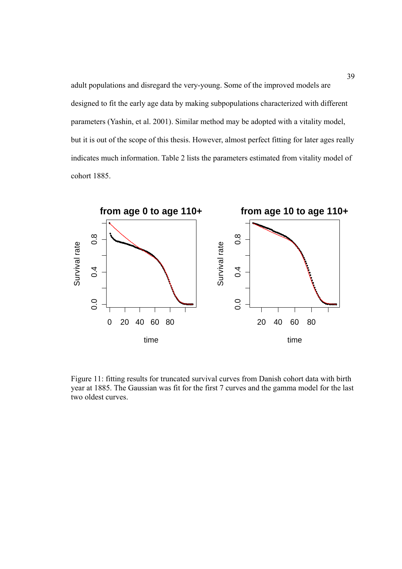adult populations and disregard the very-young. Some of the improved models are designed to fit the early age data by making subpopulations characterized with different parameters (Yashin, et al. 2001). Similar method may be adopted with a vitality model, but it is out of the scope of this thesis. However, almost perfect fitting for later ages really indicates much information. Table 2 lists the parameters estimated from vitality model of cohort 1885.



Figure 11: fitting results for truncated survival curves from Danish cohort data with birth year at 1885. The Gaussian was fit for the first 7 curves and the gamma model for the last two oldest curves.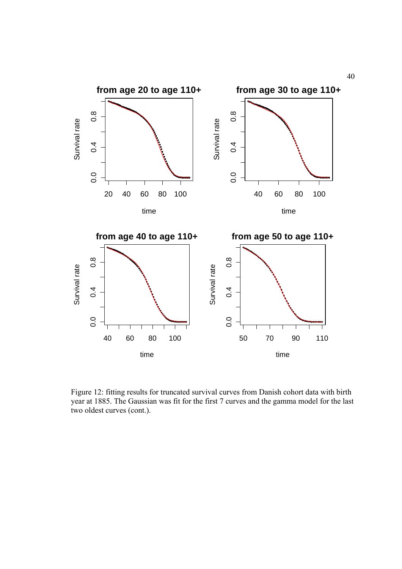

Figure 12: fitting results for truncated survival curves from Danish cohort data with birth year at 1885. The Gaussian was fit for the first 7 curves and the gamma model for the last two oldest curves (cont.).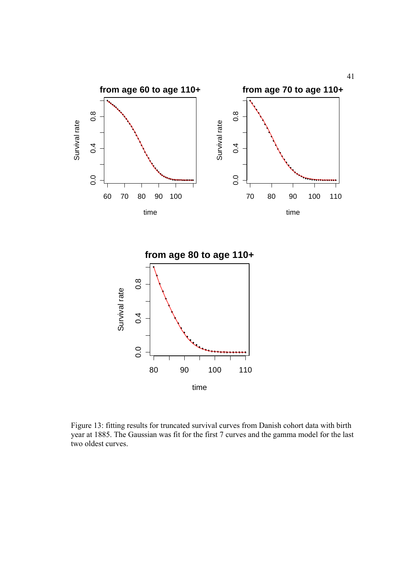

Figure 13: fitting results for truncated survival curves from Danish cohort data with birth year at 1885. The Gaussian was fit for the first 7 curves and the gamma model for the last two oldest curves.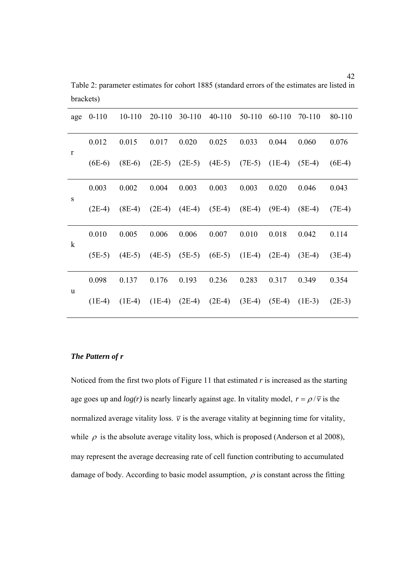| age          | $0-110$           | $10 - 110$ | 20-110   | $30 - 110$                 | $40 - 110$ | $50-110$ | 60-110            | 70-110                                                | 80-110   |
|--------------|-------------------|------------|----------|----------------------------|------------|----------|-------------------|-------------------------------------------------------|----------|
| $\mathbf{r}$ | 0.012             | 0.015      | 0.017    | 0.020                      | 0.025      | 0.033    | 0.044             | 0.060                                                 | 0.076    |
|              | $(6E-6)$          | $(8E-6)$   |          |                            |            |          |                   | $(2E-5)$ $(2E-5)$ $(4E-5)$ $(7E-5)$ $(1E-4)$ $(5E-4)$ | $(6E-4)$ |
| S            | 0.003             | 0.002      | 0.004    | 0.003                      | 0.003      | 0.003    | 0.020             | 0.046                                                 | 0.043    |
|              | $(2E-4)$          | $(8E-4)$   | $(2E-4)$ | $(4E-4)$                   | $(5E-4)$   | $(8E-4)$ | $(9E-4)$          | $(8E-4)$                                              | $(7E-4)$ |
| $\bf k$      | 0.010             | 0.005      | 0.006    | 0.006                      | 0.007      | 0.010    | 0.018             | 0.042                                                 | 0.114    |
|              | $(5E-5)$ $(4E-5)$ |            |          | $(4E-5)$ $(5E-5)$ $(6E-5)$ |            | $(1E-4)$ |                   | $(2E-4)$ $(3E-4)$                                     | $(3E-4)$ |
| u            | 0.098             | 0.137      | 0.176    | 0.193                      | 0.236      | 0.283    | 0.317             | 0.349                                                 | 0.354    |
|              | $(1E-4)$          | $(1E-4)$   | $(1E-4)$ | $(2E-4)$                   | $(2E-4)$   | $(3E-4)$ | $(5E-4)$ $(1E-3)$ |                                                       | $(2E-3)$ |

Table 2: parameter estimates for cohort 1885 (standard errors of the estimates are listed in brackets)

# *The Pattern of r*

Noticed from the first two plots of Figure 11 that estimated *r* is increased as the starting age goes up and  $log(r)$  is nearly linearly against age. In vitality model,  $r = \rho/\overline{v}$  is the normalized average vitality loss.  $\bar{v}$  is the average vitality at beginning time for vitality, while  $\rho$  is the absolute average vitality loss, which is proposed (Anderson et al 2008), may represent the average decreasing rate of cell function contributing to accumulated damage of body. According to basic model assumption,  $\rho$  is constant across the fitting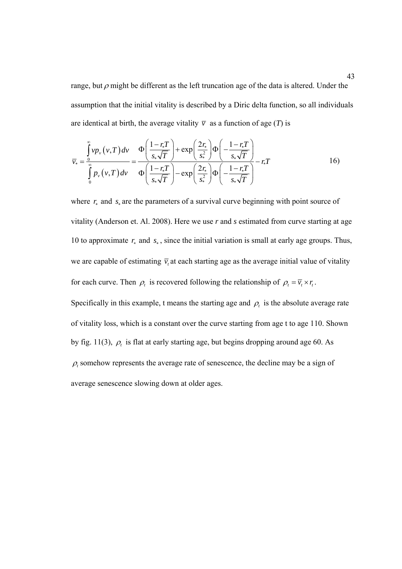range, but  $\rho$  might be different as the left truncation age of the data is altered. Under the assumption that the initial vitality is described by a Diric delta function, so all individuals are identical at birth, the average vitality  $\overline{v}$  as a function of age (*T*) is

$$
\overline{v}_{*} = \frac{\int_{0}^{\infty} v p_{v}(v, T) dv}{\int_{0}^{\infty} p_{v}(v, T) dv} = \frac{\Phi\left(\frac{1 - r_{*}T}{s_{*}\sqrt{T}}\right) + \exp\left(\frac{2r_{*}}{s_{*}^{2}}\right) \Phi\left(-\frac{1 - r_{*}T}{s_{*}\sqrt{T}}\right)}{\Phi\left(\frac{1 - r_{*}T}{s_{*}\sqrt{T}}\right) - \exp\left(\frac{2r_{*}}{s_{*}^{2}}\right) \Phi\left(-\frac{1 - r_{*}T}{s_{*}\sqrt{T}}\right)} - r_{*}T
$$
\n(16)

where *r*∗ and *s*<sup>∗</sup> are the parameters of a survival curve beginning with point source of vitality (Anderson et. Al. 2008). Here we use *r* and *s* estimated from curve starting at age 10 to approximate *r*∗ and *s*<sup>∗</sup> , since the initial variation is small at early age groups. Thus, we are capable of estimating  $\bar{v}$ , at each starting age as the average initial value of vitality for each curve. Then  $\rho_t$  is recovered following the relationship of  $\rho_t = \overline{v_t} \times r_t$ .

Specifically in this example, t means the starting age and  $\rho_t$  is the absolute average rate of vitality loss, which is a constant over the curve starting from age t to age 110. Shown by fig. 11(3),  $\rho_t$  is flat at early starting age, but begins dropping around age 60. As  $\rho_t$  somehow represents the average rate of senescence, the decline may be a sign of average senescence slowing down at older ages.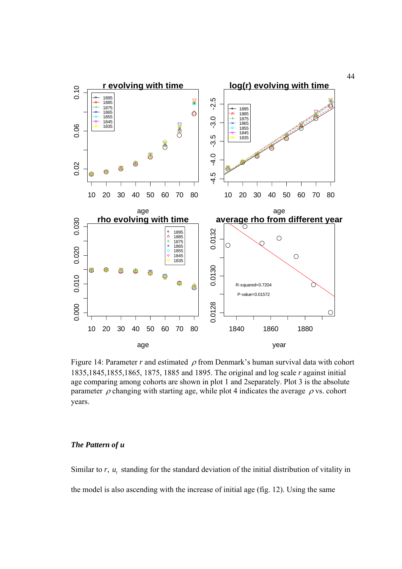

Figure 14: Parameter *r* and estimated  $\rho$  from Denmark's human survival data with cohort 1835,1845,1855,1865, 1875, 1885 and 1895. The original and log scale *r* against initial age comparing among cohorts are shown in plot 1 and 2separately. Plot 3 is the absolute parameter  $\rho$  changing with starting age, while plot 4 indicates the average  $\rho$  vs. cohort years.

### *The Pattern of u*

Similar to *r*, *u<sub>t</sub>* standing for the standard deviation of the initial distribution of vitality in the model is also ascending with the increase of initial age (fig. 12). Using the same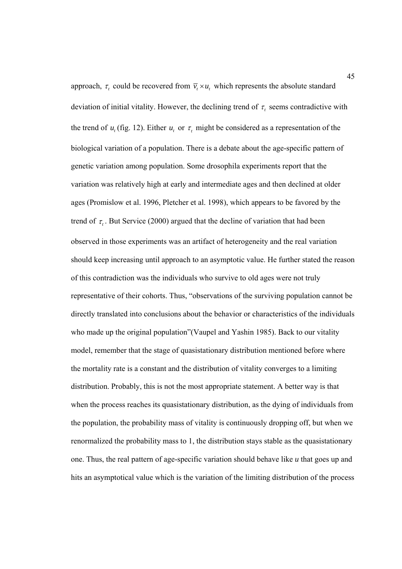approach,  $\tau$ , could be recovered from  $\overline{v}_t \times u_t$ , which represents the absolute standard deviation of initial vitality. However, the declining trend of  $\tau$ , seems contradictive with the trend of  $u_t$  (fig. 12). Either  $u_t$  or  $\tau_t$  might be considered as a representation of the biological variation of a population. There is a debate about the age-specific pattern of genetic variation among population. Some drosophila experiments report that the variation was relatively high at early and intermediate ages and then declined at older ages (Promislow et al. 1996, Pletcher et al. 1998), which appears to be favored by the trend of  $\tau$ . But Service (2000) argued that the decline of variation that had been observed in those experiments was an artifact of heterogeneity and the real variation should keep increasing until approach to an asymptotic value. He further stated the reason of this contradiction was the individuals who survive to old ages were not truly representative of their cohorts. Thus, "observations of the surviving population cannot be directly translated into conclusions about the behavior or characteristics of the individuals who made up the original population"(Vaupel and Yashin 1985). Back to our vitality model, remember that the stage of quasistationary distribution mentioned before where the mortality rate is a constant and the distribution of vitality converges to a limiting distribution. Probably, this is not the most appropriate statement. A better way is that when the process reaches its quasistationary distribution, as the dying of individuals from the population, the probability mass of vitality is continuously dropping off, but when we renormalized the probability mass to 1, the distribution stays stable as the quasistationary one. Thus, the real pattern of age-specific variation should behave like *u* that goes up and hits an asymptotical value which is the variation of the limiting distribution of the process

45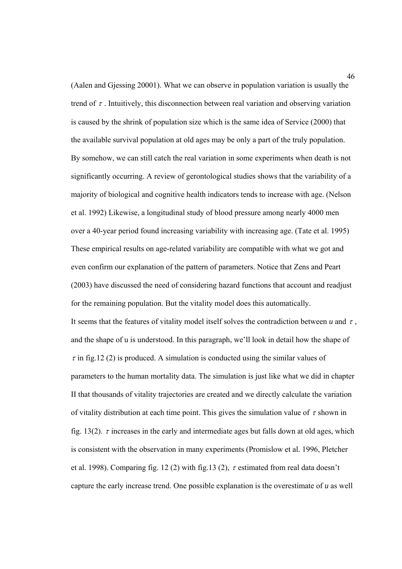(Aalen and Gjessing 20001). What we can observe in population variation is usually the trend of  $\tau$ . Intuitively, this disconnection between real variation and observing variation is caused by the shrink of population size which is the same idea of Service (2000) that the available survival population at old ages may be only a part of the truly population. By somehow, we can still catch the real variation in some experiments when death is not significantly occurring. A review of gerontological studies shows that the variability of a majority of biological and cognitive health indicators tends to increase with age. (Nelson et al. 1992) Likewise, a longitudinal study of blood pressure among nearly 4000 men over a 40-year period found increasing variability with increasing age. (Tate et al. 1995) These empirical results on age-related variability are compatible with what we got and even confirm our explanation of the pattern of parameters. Notice that Zens and Peart (2003) have discussed the need of considering hazard functions that account and readjust for the remaining population. But the vitality model does this automatically. It seems that the features of vitality model itself solves the contradiction between  $u$  and  $\tau$ , and the shape of u is understood. In this paragraph, we'll look in detail how the shape of  $\tau$  in fig.12 (2) is produced. A simulation is conducted using the similar values of parameters to the human mortality data. The simulation is just like what we did in chapter II that thousands of vitality trajectories are created and we directly calculate the variation of vitality distribution at each time point. This gives the simulation value of  $\tau$  shown in fig. 13(2).  $\tau$  increases in the early and intermediate ages but falls down at old ages, which is consistent with the observation in many experiments (Promislow et al. 1996, Pletcher et al. 1998). Comparing fig. 12 (2) with fig.13 (2),  $\tau$  estimated from real data doesn't capture the early increase trend. One possible explanation is the overestimate of *u* as well

46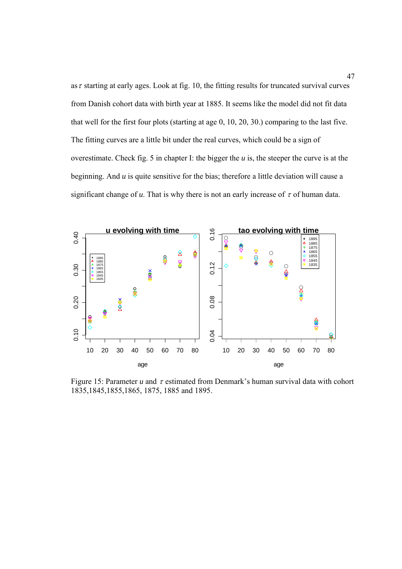as  $\tau$  starting at early ages. Look at fig. 10, the fitting results for truncated survival curves from Danish cohort data with birth year at 1885. It seems like the model did not fit data that well for the first four plots (starting at age 0, 10, 20, 30.) comparing to the last five. The fitting curves are a little bit under the real curves, which could be a sign of overestimate. Check fig. 5 in chapter I: the bigger the *u* is, the steeper the curve is at the beginning. And *u* is quite sensitive for the bias; therefore a little deviation will cause a significant change of  $u$ . That is why there is not an early increase of  $\tau$  of human data.



Figure 15: Parameter  $u$  and  $\tau$  estimated from Denmark's human survival data with cohort 1835,1845,1855,1865, 1875, 1885 and 1895.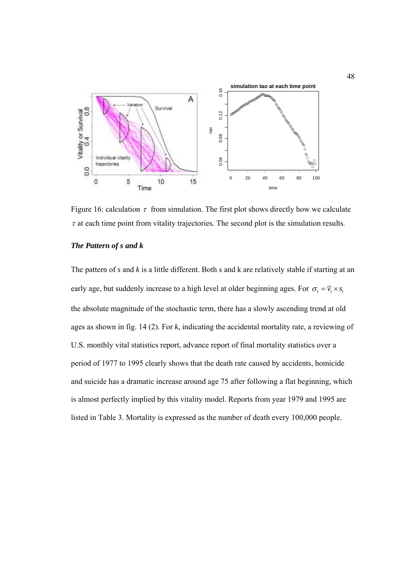

Figure 16: calculation  $\tau$  from simulation. The first plot shows directly how we calculate  $\tau$  at each time point from vitality trajectories. The second plot is the simulation results.

## *The Pattern of s and k*

The pattern of *s* and *k* is a little different. Both s and k are relatively stable if starting at an early age, but suddenly increase to a high level at older beginning ages. For  $\sigma_t = \overline{v_t} \times s_t$ the absolute magnitude of the stochastic term, there has a slowly ascending trend at old ages as shown in fig. 14 (2). For *k*, indicating the accidental mortality rate, a reviewing of U.S. monthly vital statistics report, advance report of final mortality statistics over a period of 1977 to 1995 clearly shows that the death rate caused by accidents, homicide and suicide has a dramatic increase around age 75 after following a flat beginning, which is almost perfectly implied by this vitality model. Reports from year 1979 and 1995 are listed in Table 3. Mortality is expressed as the number of death every 100,000 people.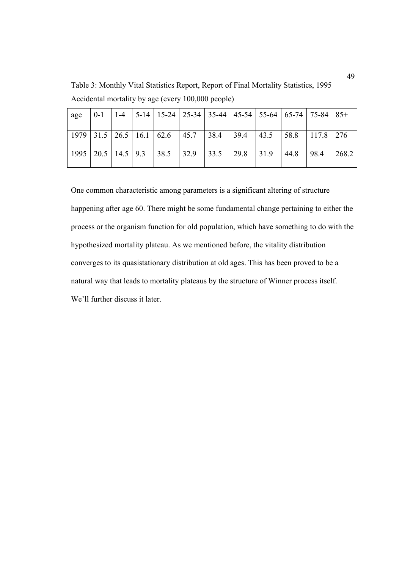Table 3: Monthly Vital Statistics Report, Report of Final Mortality Statistics, 1995 Accidental mortality by age (every 100,000 people)

| age  |  |                            | 0-1   1-4   5-14   15-24   25-34   35-44   45-54   55-64   65-74   75-84   85+ |      |              |                                   |      |      |       |
|------|--|----------------------------|--------------------------------------------------------------------------------|------|--------------|-----------------------------------|------|------|-------|
|      |  |                            | $1979$   31.5   26.5   16.1   62.6   45.7   38.4                               |      | 139.4        | $\vert$ 43.5   58.8   117.8   276 |      |      |       |
| 1995 |  | $20.5$   14.5   9.3   38.5 | 32.9                                                                           | 33.5 | $\vert$ 29.8 | 31.9                              | 44.8 | 98.4 | 268.2 |

One common characteristic among parameters is a significant altering of structure happening after age 60. There might be some fundamental change pertaining to either the process or the organism function for old population, which have something to do with the hypothesized mortality plateau. As we mentioned before, the vitality distribution converges to its quasistationary distribution at old ages. This has been proved to be a natural way that leads to mortality plateaus by the structure of Winner process itself. We'll further discuss it later.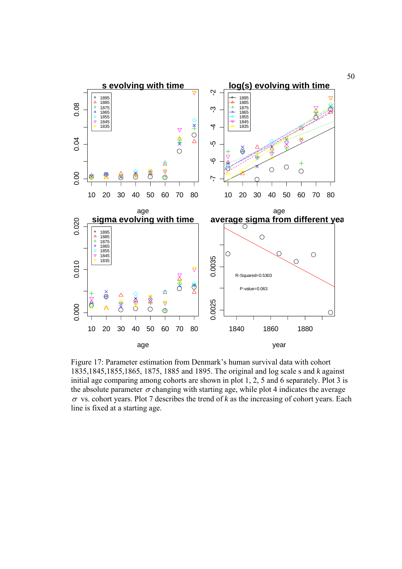

Figure 17: Parameter estimation from Denmark's human survival data with cohort 1835,1845,1855,1865, 1875, 1885 and 1895. The original and log scale s and *k* against initial age comparing among cohorts are shown in plot 1, 2, 5 and 6 separately. Plot 3 is the absolute parameter  $\sigma$  changing with starting age, while plot 4 indicates the average  $\sigma$  vs. cohort years. Plot 7 describes the trend of *k* as the increasing of cohort years. Each line is fixed at a starting age.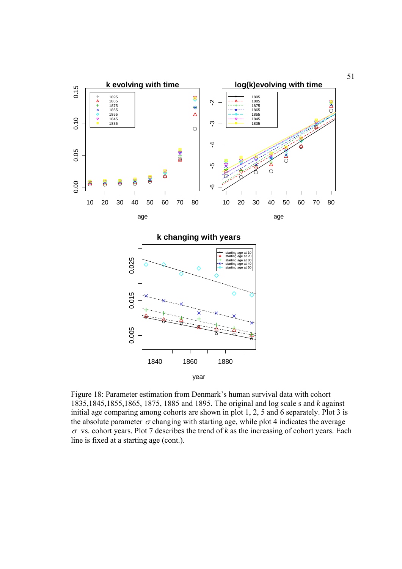

Figure 18: Parameter estimation from Denmark's human survival data with cohort 1835,1845,1855,1865, 1875, 1885 and 1895. The original and log scale s and *k* against initial age comparing among cohorts are shown in plot 1, 2, 5 and 6 separately. Plot 3 is the absolute parameter  $\sigma$  changing with starting age, while plot 4 indicates the average  $\sigma$  vs. cohort years. Plot 7 describes the trend of *k* as the increasing of cohort years. Each line is fixed at a starting age (cont.).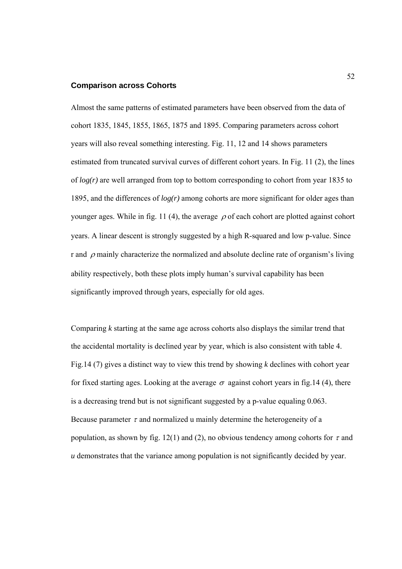# **Comparison across Cohorts**

Almost the same patterns of estimated parameters have been observed from the data of cohort 1835, 1845, 1855, 1865, 1875 and 1895. Comparing parameters across cohort years will also reveal something interesting. Fig. 11, 12 and 14 shows parameters estimated from truncated survival curves of different cohort years. In Fig. 11 (2), the lines of *log(r)* are well arranged from top to bottom corresponding to cohort from year 1835 to 1895, and the differences of *log(r)* among cohorts are more significant for older ages than younger ages. While in fig. 11 (4), the average  $\rho$  of each cohort are plotted against cohort years. A linear descent is strongly suggested by a high R-squared and low p-value. Since r and  $\rho$  mainly characterize the normalized and absolute decline rate of organism's living ability respectively, both these plots imply human's survival capability has been significantly improved through years, especially for old ages.

Comparing *k* starting at the same age across cohorts also displays the similar trend that the accidental mortality is declined year by year, which is also consistent with table 4. Fig.14 (7) gives a distinct way to view this trend by showing *k* declines with cohort year for fixed starting ages. Looking at the average  $\sigma$  against cohort years in fig.14 (4), there is a decreasing trend but is not significant suggested by a p-value equaling 0.063. Because parameter  $\tau$  and normalized u mainly determine the heterogeneity of a population, as shown by fig. 12(1) and (2), no obvious tendency among cohorts for  $\tau$  and *u* demonstrates that the variance among population is not significantly decided by year.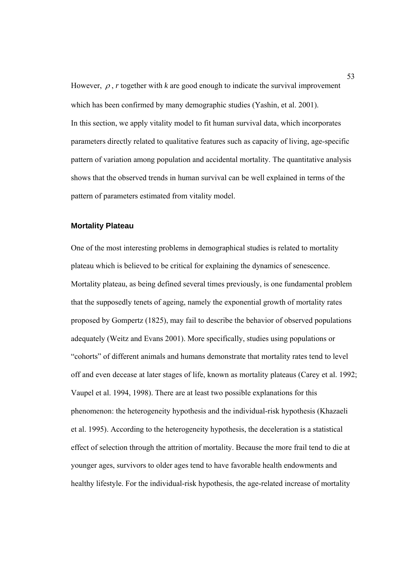However,  $\rho$ , *r* together with *k* are good enough to indicate the survival improvement which has been confirmed by many demographic studies (Yashin, et al. 2001). In this section, we apply vitality model to fit human survival data, which incorporates parameters directly related to qualitative features such as capacity of living, age-specific pattern of variation among population and accidental mortality. The quantitative analysis shows that the observed trends in human survival can be well explained in terms of the pattern of parameters estimated from vitality model.

## **Mortality Plateau**

One of the most interesting problems in demographical studies is related to mortality plateau which is believed to be critical for explaining the dynamics of senescence. Mortality plateau, as being defined several times previously, is one fundamental problem that the supposedly tenets of ageing, namely the exponential growth of mortality rates proposed by Gompertz (1825), may fail to describe the behavior of observed populations adequately (Weitz and Evans 2001). More specifically, studies using populations or "cohorts" of different animals and humans demonstrate that mortality rates tend to level off and even decease at later stages of life, known as mortality plateaus (Carey et al. 1992; Vaupel et al. 1994, 1998). There are at least two possible explanations for this phenomenon: the heterogeneity hypothesis and the individual-risk hypothesis (Khazaeli et al. 1995). According to the heterogeneity hypothesis, the deceleration is a statistical effect of selection through the attrition of mortality. Because the more frail tend to die at younger ages, survivors to older ages tend to have favorable health endowments and healthy lifestyle. For the individual-risk hypothesis, the age-related increase of mortality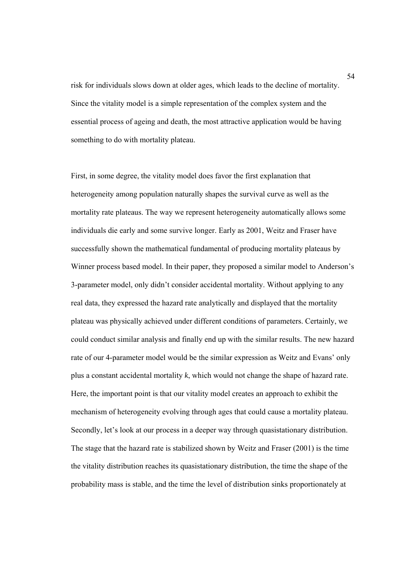risk for individuals slows down at older ages, which leads to the decline of mortality. Since the vitality model is a simple representation of the complex system and the essential process of ageing and death, the most attractive application would be having something to do with mortality plateau.

First, in some degree, the vitality model does favor the first explanation that heterogeneity among population naturally shapes the survival curve as well as the mortality rate plateaus. The way we represent heterogeneity automatically allows some individuals die early and some survive longer. Early as 2001, Weitz and Fraser have successfully shown the mathematical fundamental of producing mortality plateaus by Winner process based model. In their paper, they proposed a similar model to Anderson's 3-parameter model, only didn't consider accidental mortality. Without applying to any real data, they expressed the hazard rate analytically and displayed that the mortality plateau was physically achieved under different conditions of parameters. Certainly, we could conduct similar analysis and finally end up with the similar results. The new hazard rate of our 4-parameter model would be the similar expression as Weitz and Evans' only plus a constant accidental mortality *k*, which would not change the shape of hazard rate. Here, the important point is that our vitality model creates an approach to exhibit the mechanism of heterogeneity evolving through ages that could cause a mortality plateau. Secondly, let's look at our process in a deeper way through quasistationary distribution. The stage that the hazard rate is stabilized shown by Weitz and Fraser (2001) is the time the vitality distribution reaches its quasistationary distribution, the time the shape of the probability mass is stable, and the time the level of distribution sinks proportionately at

54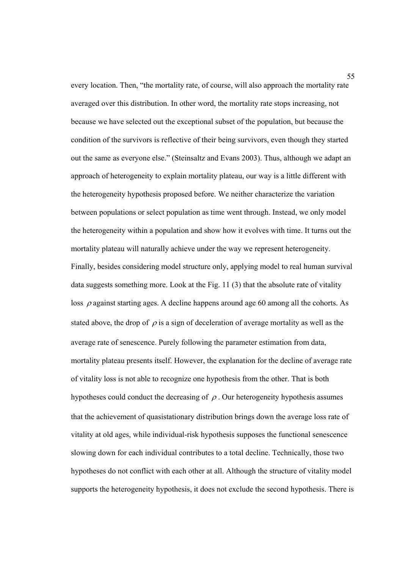every location. Then, "the mortality rate, of course, will also approach the mortality rate averaged over this distribution. In other word, the mortality rate stops increasing, not because we have selected out the exceptional subset of the population, but because the condition of the survivors is reflective of their being survivors, even though they started out the same as everyone else." (Steinsaltz and Evans 2003). Thus, although we adapt an approach of heterogeneity to explain mortality plateau, our way is a little different with the heterogeneity hypothesis proposed before. We neither characterize the variation between populations or select population as time went through. Instead, we only model the heterogeneity within a population and show how it evolves with time. It turns out the mortality plateau will naturally achieve under the way we represent heterogeneity. Finally, besides considering model structure only, applying model to real human survival data suggests something more. Look at the Fig. 11 (3) that the absolute rate of vitality loss  $\rho$  against starting ages. A decline happens around age 60 among all the cohorts. As stated above, the drop of  $\rho$  is a sign of deceleration of average mortality as well as the average rate of senescence. Purely following the parameter estimation from data, mortality plateau presents itself. However, the explanation for the decline of average rate of vitality loss is not able to recognize one hypothesis from the other. That is both hypotheses could conduct the decreasing of  $\rho$ . Our heterogeneity hypothesis assumes that the achievement of quasistationary distribution brings down the average loss rate of vitality at old ages, while individual-risk hypothesis supposes the functional senescence slowing down for each individual contributes to a total decline. Technically, those two hypotheses do not conflict with each other at all. Although the structure of vitality model supports the heterogeneity hypothesis, it does not exclude the second hypothesis. There is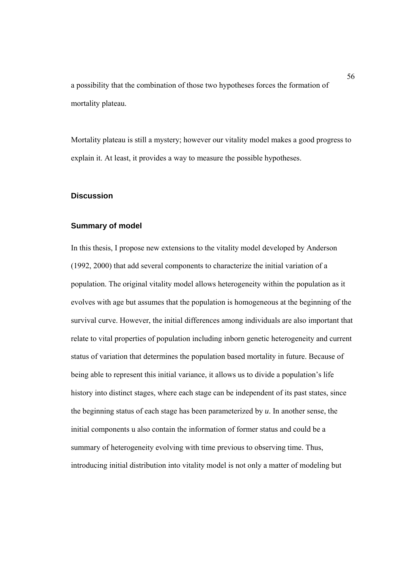a possibility that the combination of those two hypotheses forces the formation of mortality plateau.

Mortality plateau is still a mystery; however our vitality model makes a good progress to explain it. At least, it provides a way to measure the possible hypotheses.

# **Discussion**

#### **Summary of model**

In this thesis, I propose new extensions to the vitality model developed by Anderson (1992, 2000) that add several components to characterize the initial variation of a population. The original vitality model allows heterogeneity within the population as it evolves with age but assumes that the population is homogeneous at the beginning of the survival curve. However, the initial differences among individuals are also important that relate to vital properties of population including inborn genetic heterogeneity and current status of variation that determines the population based mortality in future. Because of being able to represent this initial variance, it allows us to divide a population's life history into distinct stages, where each stage can be independent of its past states, since the beginning status of each stage has been parameterized by *u*. In another sense, the initial components u also contain the information of former status and could be a summary of heterogeneity evolving with time previous to observing time. Thus, introducing initial distribution into vitality model is not only a matter of modeling but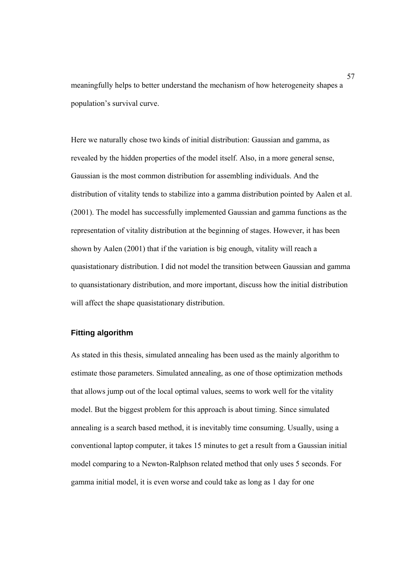meaningfully helps to better understand the mechanism of how heterogeneity shapes a population's survival curve.

Here we naturally chose two kinds of initial distribution: Gaussian and gamma, as revealed by the hidden properties of the model itself. Also, in a more general sense, Gaussian is the most common distribution for assembling individuals. And the distribution of vitality tends to stabilize into a gamma distribution pointed by Aalen et al. (2001). The model has successfully implemented Gaussian and gamma functions as the representation of vitality distribution at the beginning of stages. However, it has been shown by Aalen (2001) that if the variation is big enough, vitality will reach a quasistationary distribution. I did not model the transition between Gaussian and gamma to quansistationary distribution, and more important, discuss how the initial distribution will affect the shape quasistationary distribution.

# **Fitting algorithm**

As stated in this thesis, simulated annealing has been used as the mainly algorithm to estimate those parameters. Simulated annealing, as one of those optimization methods that allows jump out of the local optimal values, seems to work well for the vitality model. But the biggest problem for this approach is about timing. Since simulated annealing is a search based method, it is inevitably time consuming. Usually, using a conventional laptop computer, it takes 15 minutes to get a result from a Gaussian initial model comparing to a Newton-Ralphson related method that only uses 5 seconds. For gamma initial model, it is even worse and could take as long as 1 day for one

57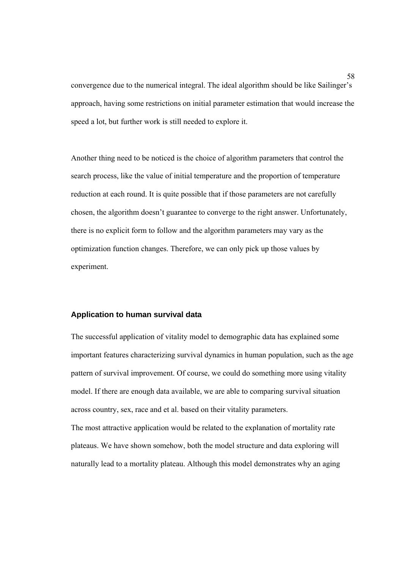convergence due to the numerical integral. The ideal algorithm should be like Sailinger's approach, having some restrictions on initial parameter estimation that would increase the speed a lot, but further work is still needed to explore it.

Another thing need to be noticed is the choice of algorithm parameters that control the search process, like the value of initial temperature and the proportion of temperature reduction at each round. It is quite possible that if those parameters are not carefully chosen, the algorithm doesn't guarantee to converge to the right answer. Unfortunately, there is no explicit form to follow and the algorithm parameters may vary as the optimization function changes. Therefore, we can only pick up those values by experiment.

#### **Application to human survival data**

The successful application of vitality model to demographic data has explained some important features characterizing survival dynamics in human population, such as the age pattern of survival improvement. Of course, we could do something more using vitality model. If there are enough data available, we are able to comparing survival situation across country, sex, race and et al. based on their vitality parameters.

The most attractive application would be related to the explanation of mortality rate plateaus. We have shown somehow, both the model structure and data exploring will naturally lead to a mortality plateau. Although this model demonstrates why an aging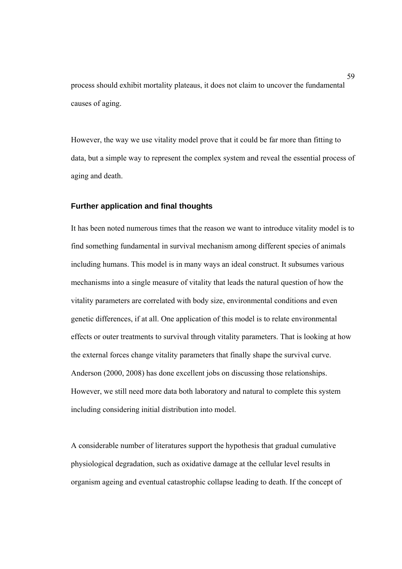process should exhibit mortality plateaus, it does not claim to uncover the fundamental causes of aging.

However, the way we use vitality model prove that it could be far more than fitting to data, but a simple way to represent the complex system and reveal the essential process of aging and death.

### **Further application and final thoughts**

It has been noted numerous times that the reason we want to introduce vitality model is to find something fundamental in survival mechanism among different species of animals including humans. This model is in many ways an ideal construct. It subsumes various mechanisms into a single measure of vitality that leads the natural question of how the vitality parameters are correlated with body size, environmental conditions and even genetic differences, if at all. One application of this model is to relate environmental effects or outer treatments to survival through vitality parameters. That is looking at how the external forces change vitality parameters that finally shape the survival curve. Anderson (2000, 2008) has done excellent jobs on discussing those relationships. However, we still need more data both laboratory and natural to complete this system including considering initial distribution into model.

A considerable number of literatures support the hypothesis that gradual cumulative physiological degradation, such as oxidative damage at the cellular level results in organism ageing and eventual catastrophic collapse leading to death. If the concept of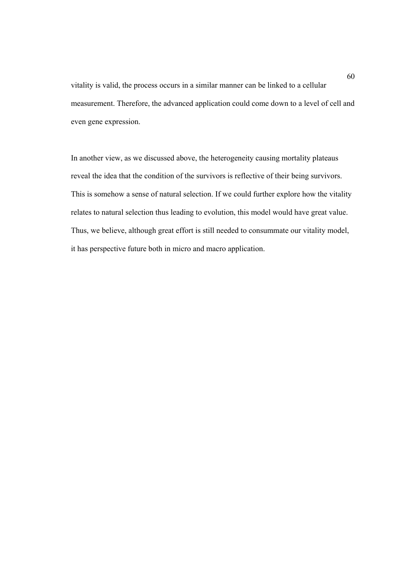vitality is valid, the process occurs in a similar manner can be linked to a cellular measurement. Therefore, the advanced application could come down to a level of cell and even gene expression.

In another view, as we discussed above, the heterogeneity causing mortality plateaus reveal the idea that the condition of the survivors is reflective of their being survivors. This is somehow a sense of natural selection. If we could further explore how the vitality relates to natural selection thus leading to evolution, this model would have great value. Thus, we believe, although great effort is still needed to consummate our vitality model, it has perspective future both in micro and macro application.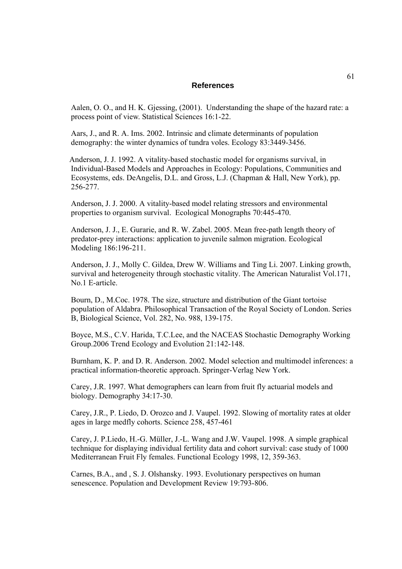#### **References**

Aalen, O. O., and H. K. Gjessing, (2001). Understanding the shape of the hazard rate: a process point of view. Statistical Sciences 16:1-22.

Aars, J., and R. A. Ims. 2002. Intrinsic and climate determinants of population demography: the winter dynamics of tundra voles. Ecology 83:3449-3456.

Anderson, J. J. 1992. A vitality-based stochastic model for organisms survival, in Individual-Based Models and Approaches in Ecology: Populations, Communities and Ecosystems, eds. DeAngelis, D.L. and Gross, L.J. (Chapman & Hall, New York), pp. 256-277.

Anderson, J. J. 2000. A vitality-based model relating stressors and environmental properties to organism survival. Ecological Monographs 70:445-470.

Anderson, J. J., E. Gurarie, and R. W. Zabel. 2005. Mean free-path length theory of predator-prey interactions: application to juvenile salmon migration. Ecological Modeling 186:196-211.

Anderson, J. J., Molly C. Gildea, Drew W. Williams and Ting Li. 2007. Linking growth, survival and heterogeneity through stochastic vitality. The American Naturalist Vol.171, No.1 E-article.

Bourn, D., M.Coc. 1978. The size, structure and distribution of the Giant tortoise population of Aldabra. Philosophical Transaction of the Royal Society of London. Series B, Biological Science, Vol. 282, No. 988, 139-175.

Boyce, M.S., C.V. Harida, T.C.Lee, and the NACEAS Stochastic Demography Working Group.2006 Trend Ecology and Evolution 21:142-148.

Burnham, K. P. and D. R. Anderson. 2002. Model selection and multimodel inferences: a practical information-theoretic approach. Springer-Verlag New York.

Carey, J.R. 1997. What demographers can learn from fruit fly actuarial models and biology. Demography 34:17-30.

Carey, J.R., P. Liedo, D. Orozco and J. Vaupel. 1992. Slowing of mortality rates at older ages in large medfly cohorts. Science 258, 457-461

Carey, J. P.Liedo, H.-G. Müller, J.-L. Wang and J.W. Vaupel. 1998. A simple graphical technique for displaying individual fertility data and cohort survival: case study of 1000 Mediterranean Fruit Fly females. Functional Ecology 1998, 12, 359-363.

Carnes, B.A., and , S. J. Olshansky. 1993. Evolutionary perspectives on human senescence. Population and Development Review 19:793-806.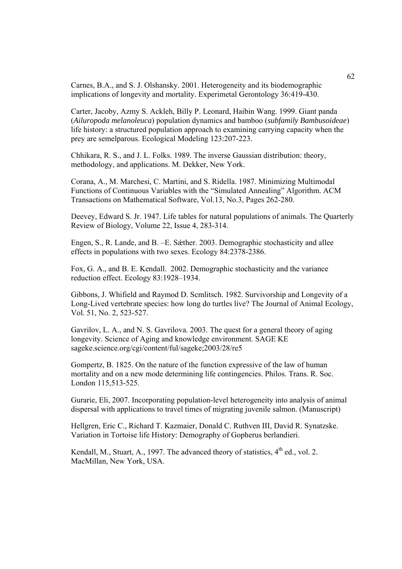Carnes, B.A., and S. J. Olshansky. 2001. Heterogeneity and its biodemographic implications of longevity and mortality. Experimetal Gerontology 36:419-430.

Carter, Jacoby, Azmy S. Ackleh, Billy P. Leonard, Haibin Wang. 1999. Giant panda (*Ailuropoda melanoleuca*) population dynamics and bamboo (*subfamily Bambusoideae*) life history: a structured population approach to examining carrying capacity when the prey are semelparous. Ecological Modeling 123:207-223.

Chhikara, R. S., and J. L. Folks. 1989. The inverse Gaussian distribution: theory, methodology, and applications. M. Dekker, New York.

Corana, A., M. Marchesi, C. Martini, and S. Ridella. 1987. Minimizing Multimodal Functions of Continuous Variables with the "Simulated Annealing" Algorithm. ACM Transactions on Mathematical Software, Vol.13, No.3, Pages 262-280.

Deevey, Edward S. Jr. 1947. Life tables for natural populations of animals. The Quarterly Review of Biology, Volume 22, Issue 4, 283-314.

Engen, S., R. Lande, and B. –E. Sǽther. 2003. Demographic stochasticity and allee effects in populations with two sexes. Ecology 84:2378-2386.

Fox, G. A., and B. E. Kendall. 2002. Demographic stochasticity and the variance reduction effect. Ecology 83:1928–1934.

Gibbons, J. Whifield and Raymod D. Scmlitsch. 1982. Survivorship and Longevity of a Long-Lived vertebrate species: how long do turtles live? The Journal of Animal Ecology, Vol. 51, No. 2, 523-527.

Gavrilov, L. A., and N. S. Gavrilova. 2003. The quest for a general theory of aging longevity. Science of Aging and knowledge environment. SAGE KE sageke.science.org/cgi/content/ful/sageke;2003/28/re5

Gompertz, B. 1825. On the nature of the function expressive of the law of human mortality and on a new mode determining life contingencies. Philos. Trans. R. Soc. London 115,513-525.

Gurarie, Eli, 2007. Incorporating population-level heterogeneity into analysis of animal dispersal with applications to travel times of migrating juvenile salmon. (Manuscript)

Hellgren, Eric C., Richard T. Kazmaier, Donald C. Ruthven III, David R. Synatzske. Variation in Tortoise life History: Demography of Gopherus berlandieri.

Kendall, M., Stuart, A., 1997. The advanced theory of statistics,  $4<sup>th</sup>$  ed., vol. 2. MacMillan, New York, USA.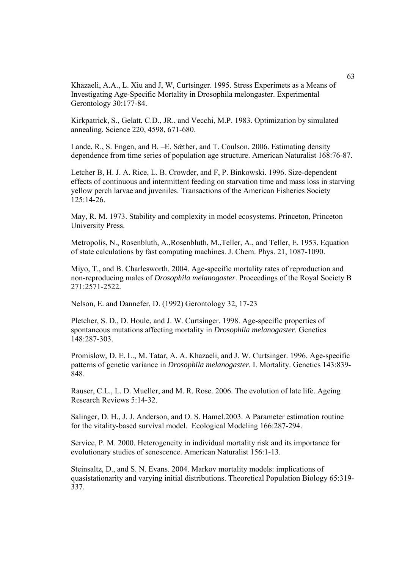Khazaeli, A.A., L. Xiu and J, W, Curtsinger. 1995. Stress Experimets as a Means of Investigating Age-Specific Mortality in Drosophila melongaster. Experimental Gerontology 30:177-84.

Kirkpatrick, S., Gelatt, C.D., JR., and Vecchi, M.P. 1983. Optimization by simulated annealing. Science 220, 4598, 671-680.

Lande, R., S. Engen, and B. –E. Sæther, and T. Coulson. 2006. Estimating density dependence from time series of population age structure. American Naturalist 168:76-87.

Letcher B, H. J. A. Rice, L. B. Crowder, and F, P. Binkowski. 1996. Size-dependent effects of continuous and intermittent feeding on starvation time and mass loss in starving yellow perch larvae and juveniles. Transactions of the American Fisheries Society 125:14-26.

May, R. M. 1973. Stability and complexity in model ecosystems. Princeton, Princeton University Press.

Metropolis, N., Rosenbluth, A.,Rosenbluth, M.,Teller, A., and Teller, E. 1953. Equation of state calculations by fast computing machines. J. Chem. Phys. 21, 1087-1090.

Miyo, T., and B. Charlesworth. 2004. Age-specific mortality rates of reproduction and non-reproducing males of *Drosophila melanogaster*. Proceedings of the Royal Society B 271:2571-2522.

Nelson, E. and Dannefer, D. (1992) Gerontology 32, 17-23

Pletcher, S. D., D. Houle, and J. W. Curtsinger. 1998. Age-specific properties of spontaneous mutations affecting mortality in *Drosophila melanogaster*. Genetics 148:287-303.

Promislow, D. E. L., M. Tatar, A. A. Khazaeli, and J. W. Curtsinger. 1996. Age-specific patterns of genetic variance in *Drosophila melanogaster*. I. Mortality. Genetics 143:839- 848.

Rauser, C.L., L. D. Mueller, and M. R. Rose. 2006. The evolution of late life. Ageing Research Reviews 5:14-32.

Salinger, D. H., J. J. Anderson, and O. S. Hamel.2003. A Parameter estimation routine for the vitality-based survival model. Ecological Modeling 166:287-294.

Service, P. M. 2000. Heterogeneity in individual mortality risk and its importance for evolutionary studies of senescence. American Naturalist 156:1-13.

Steinsaltz, D., and S. N. Evans. 2004. Markov mortality models: implications of quasistationarity and varying initial distributions. Theoretical Population Biology 65:319- 337.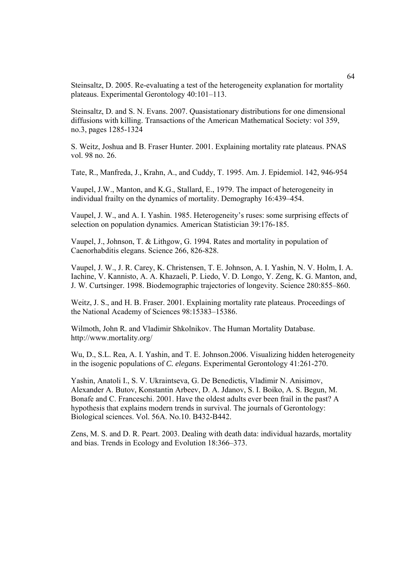Steinsaltz, D. 2005. Re-evaluating a test of the heterogeneity explanation for mortality plateaus. Experimental Gerontology 40:101–113.

Steinsaltz, D. and S. N. Evans. 2007. Quasistationary distributions for one dimensional diffusions with killing. Transactions of the American Mathematical Society: vol 359, no.3, pages 1285-1324

S. Weitz, Joshua and B. Fraser Hunter. 2001. Explaining mortality rate plateaus. PNAS vol. 98 no. 26.

Tate, R., Manfreda, J., Krahn, A., and Cuddy, T. 1995. Am. J. Epidemiol. 142, 946-954

Vaupel, J.W., Manton, and K.G., Stallard, E., 1979. The impact of heterogeneity in individual frailty on the dynamics of mortality. Demography 16:439–454.

Vaupel, J. W., and A. I. Yashin. 1985. Heterogeneity's ruses: some surprising effects of selection on population dynamics. American Statistician 39:176-185.

Vaupel, J., Johnson, T. & Lithgow, G. 1994. Rates and mortality in population of Caenorhabditis elegans. Science 266, 826-828.

Vaupel, J. W., J. R. Carey, K. Christensen, T. E. Johnson, A. I. Yashin, N. V. Holm, I. A. Iachine, V. Kannisto, A. A. Khazaeli, P. Liedo, V. D. Longo, Y. Zeng, K. G. Manton, and, J. W. Curtsinger. 1998. Biodemographic trajectories of longevity. Science 280:855–860.

Weitz, J. S., and H. B. Fraser. 2001. Explaining mortality rate plateaus. Proceedings of the National Academy of Sciences 98:15383–15386.

Wilmoth, John R. and Vladimir Shkolnikov. The Human Mortality Database. http://www.mortality.org/

Wu, D., S.L. Rea, A. I. Yashin, and T. E. Johnson.2006. Visualizing hidden heterogeneity in the isogenic populations of *C. elegans*. Experimental Gerontology 41:261-270.

Yashin, Anatoli I., S. V. Ukraintseva, G. De Benedictis, Vladimir N. Anisimov, Alexander A. Butov, Konstantin Arbeev, D. A. Jdanov, S. I. Boiko, A. S. Begun, M. Bonafe and C. Franceschi. 2001. Have the oldest adults ever been frail in the past? A hypothesis that explains modern trends in survival. The journals of Gerontology: Biological sciences. Vol. 56A. No.10. B432-B442.

Zens, M. S. and D. R. Peart. 2003. Dealing with death data: individual hazards, mortality and bias. Trends in Ecology and Evolution 18:366–373.

64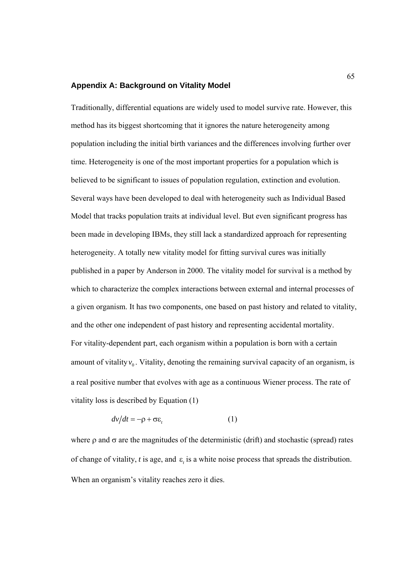## **Appendix A: Background on Vitality Model**

Traditionally, differential equations are widely used to model survive rate. However, this method has its biggest shortcoming that it ignores the nature heterogeneity among population including the initial birth variances and the differences involving further over time. Heterogeneity is one of the most important properties for a population which is believed to be significant to issues of population regulation, extinction and evolution. Several ways have been developed to deal with heterogeneity such as Individual Based Model that tracks population traits at individual level. But even significant progress has been made in developing IBMs, they still lack a standardized approach for representing heterogeneity. A totally new vitality model for fitting survival cures was initially published in a paper by Anderson in 2000. The vitality model for survival is a method by which to characterize the complex interactions between external and internal processes of a given organism. It has two components, one based on past history and related to vitality, and the other one independent of past history and representing accidental mortality. For vitality-dependent part, each organism within a population is born with a certain amount of vitality  $v_0$ . Vitality, denoting the remaining survival capacity of an organism, is a real positive number that evolves with age as a continuous Wiener process. The rate of vitality loss is described by Equation (1)

$$
dv/dt = -\rho + \sigma \varepsilon_t \tag{1}
$$

where  $\rho$  and  $\sigma$  are the magnitudes of the deterministic (drift) and stochastic (spread) rates of change of vitality,  $t$  is age, and  $\varepsilon$ , is a white noise process that spreads the distribution. When an organism's vitality reaches zero it dies.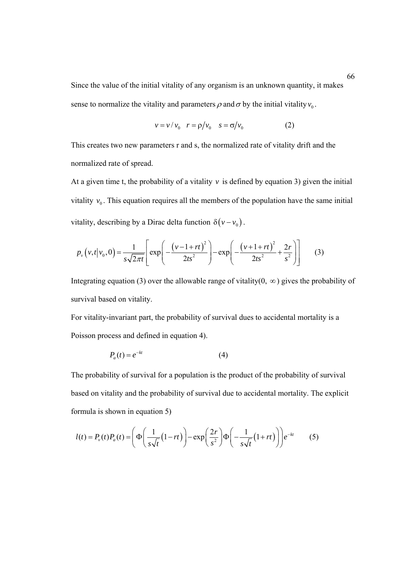Since the value of the initial vitality of any organism is an unknown quantity, it makes sense to normalize the vitality and parameters  $\rho$  and  $\sigma$  by the initial vitality  $v_0$ .

$$
v = v / v_0 \quad r = \rho / v_0 \quad s = \sigma / v_0 \tag{2}
$$

This creates two new parameters r and s, the normalized rate of vitality drift and the normalized rate of spread.

At a given time t, the probability of a vitality  $v$  is defined by equation 3) given the initial vitality  $v_0$ . This equation requires all the members of the population have the same initial vitality, describing by a Dirac delta function  $\delta(v - v_0)$ .

$$
p_{\nu}\left(v,t|v_0,0\right) = \frac{1}{s\sqrt{2\pi t}} \left[ \exp\left(-\frac{\left(v-1+rt\right)^2}{2ts^2}\right) - \exp\left(-\frac{\left(v+1+rt\right)^2}{2ts^2} + \frac{2r}{s^2}\right) \right] \tag{3}
$$

Integrating equation (3) over the allowable range of vitality(0,  $\infty$ ) gives the probability of survival based on vitality.

For vitality-invariant part, the probability of survival dues to accidental mortality is a Poisson process and defined in equation 4).

$$
P_a(t) = e^{-kt} \tag{4}
$$

The probability of survival for a population is the product of the probability of survival based on vitality and the probability of survival due to accidental mortality. The explicit formula is shown in equation 5)

$$
l(t) = P_v(t)P_a(t) = \left(\Phi\left(\frac{1}{s\sqrt{t}}(1-rt)\right) - \exp\left(\frac{2r}{s^2}\right)\Phi\left(-\frac{1}{s\sqrt{t}}(1+rt)\right)\right)e^{-kt}
$$
(5)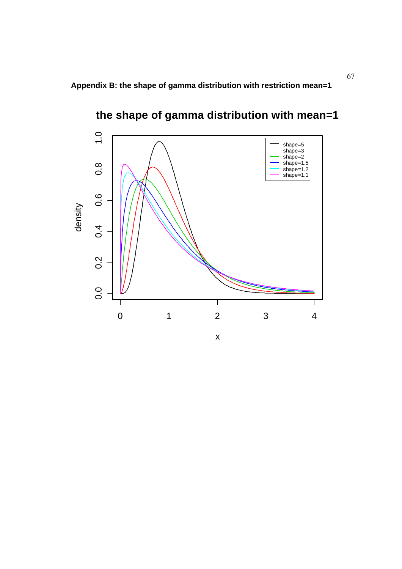**Appendix B: the shape of gamma distribution with restriction mean=1** 



**the shape of gamma distribution with mean=1**

x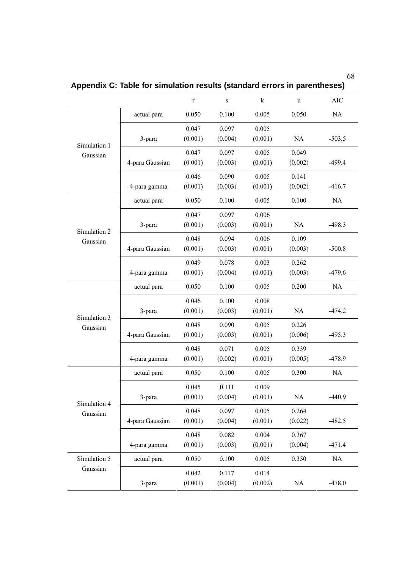| ۰.<br>۰,<br>전 사<br>I<br>۰.<br>۰.<br>× | i<br>۰.<br>۰. |
|---------------------------------------|---------------|
|---------------------------------------|---------------|

r s k u AIC actual para 0.050 0.100 0.005 0.050 NA 3-para 0.047 (0.001) 0.097 (0.004) 0.005 (0.001) NA -503.5 4-para Gaussian 0.047 (0.001) 0.097 (0.003) 0.005 (0.001) 0.049  $(0.002)$  -499.4 Simulation 1 Gaussian 4-para gamma 0.046 (0.001) 0.090 (0.003) 0.005 (0.001) 0.141  $(0.002)$   $-416.7$ actual para 0.050 0.100 0.005 0.100 NA 3-para 0.047 (0.001) 0.097 (0.003) 0.006 (0.001) NA -498.3 4-para Gaussian 0.048 (0.001) 0.094 (0.003) 0.006 (0.001) 0.109  $(0.003)$   $-500.8$ Simulation 2 Gaussian 4-para gamma 0.049 (0.001) 0.078  $(0.004)$ 0.003 (0.001) 0.262  $(0.003)$   $-479.6$ actual para 0.050 0.100 0.005 0.200 NA 3-para 0.046 (0.001) 0.100 (0.003) 0.008 (0.001) NA -474.2 4-para Gaussian 0.048 (0.001) 0.090 (0.003) 0.005 (0.001) 0.226  $(0.006)$  -495.3 Simulation 3 Gaussian 4-para gamma 0.048 (0.001) 0.071  $(0.002)$ 0.005 (0.001) 0.339  $(0.005)$   $-478.9$ actual para 0.050 0.100 0.005 0.300 NA 3-para 0.045 (0.001) 0.111 (0.004) 0.009 (0.001) NA -440.9 4-para Gaussian 0.048 (0.001) 0.097 (0.004) 0.005 (0.001) 0.264  $(0.022)$  -482.5 Simulation 4 Gaussian 4-para gamma 0.048 (0.001) 0.082 (0.003) 0.004 (0.001) 0.367  $(0.004)$   $-471.4$ Simulation 5 actual para  $0.050$  0.100 0.005 0.350 NA Gaussian 3-para 0.042 (0.001) 0.117 (0.004) 0.014  $(0.002)$  NA  $-478.0$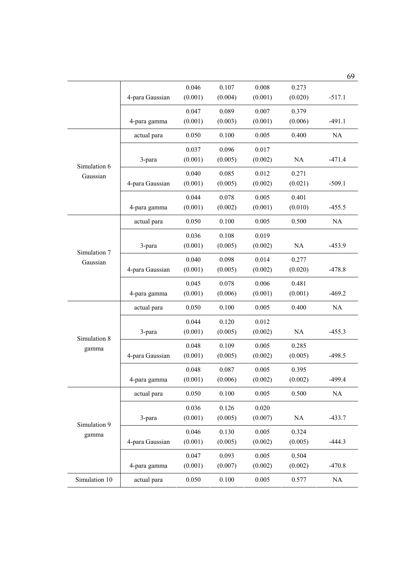|                          |                 |         |         |         |           | 69        |
|--------------------------|-----------------|---------|---------|---------|-----------|-----------|
|                          |                 | 0.046   | 0.107   | 0.008   | 0.273     |           |
|                          | 4-para Gaussian | (0.001) | (0.004) | (0.001) | (0.020)   | $-517.1$  |
|                          |                 | 0.047   | 0.089   | 0.007   | 0.379     |           |
|                          | 4-para gamma    | (0.001) | (0.003) | (0.001) | (0.006)   | $-491.1$  |
| Simulation 6<br>Gaussian | actual para     | 0.050   | 0.100   | 0.005   | 0.400     | NA        |
|                          |                 | 0.037   | 0.096   | 0.017   |           |           |
|                          | 3-para          | (0.001) | (0.005) | (0.002) | NA        | $-471.4$  |
|                          |                 | 0.040   | 0.085   | 0.012   | 0.271     |           |
|                          | 4-para Gaussian | (0.001) | (0.005) | (0.002) | (0.021)   | $-509.1$  |
|                          |                 | 0.044   | 0.078   | 0.005   | 0.401     |           |
|                          | 4-para gamma    | (0.001) | (0.002) | (0.001) | (0.010)   | $-455.5$  |
|                          | actual para     | 0.050   | 0.100   | 0.005   | 0.500     | NA        |
|                          |                 | 0.036   | 0.108   | 0.019   |           |           |
| Simulation 7             | 3-para          | (0.001) | (0.005) | (0.002) | <b>NA</b> | $-453.9$  |
| Gaussian                 |                 | 0.040   | 0.098   | 0.014   | 0.277     |           |
|                          | 4-para Gaussian | (0.001) | (0.005) | (0.002) | (0.020)   | $-478.8$  |
|                          |                 | 0.045   | 0.078   | 0.006   | 0.481     |           |
|                          | 4-para gamma    | (0.001) | (0.006) | (0.001) | (0.001)   | $-469.2$  |
| Simulation 8<br>gamma    | actual para     | 0.050   | 0.100   | 0.005   | 0.400     | <b>NA</b> |
|                          |                 | 0.044   | 0.120   | 0.012   |           |           |
|                          | 3-para          | (0.001) | (0.005) | (0.002) | NA        | $-455.3$  |
|                          |                 | 0.048   | 0.109   | 0.005   | 0.285     |           |
|                          | 4-para Gaussian | (0.001) | (0.005) | (0.002) | (0.005)   | $-498.5$  |
|                          |                 | 0.048   | 0.087   | 0.005   | 0.395     |           |
|                          | 4-para gamma    | (0.001) | (0.006) | (0.002) | (0.002)   | $-499.4$  |
| Simulation 9<br>gamma    | actual para     | 0.050   | 0.100   | 0.005   | 0.500     | NA        |
|                          |                 | 0.036   | 0.126   | 0.020   |           |           |
|                          | 3-para          | (0.001) | (0.005) | (0.007) | $\rm NA$  | $-433.7$  |
|                          |                 | 0.046   | 0.130   | 0.005   | 0.324     |           |
|                          | 4-para Gaussian | (0.001) | (0.005) | (0.002) | (0.005)   | $-444.3$  |
|                          |                 | 0.047   | 0.093   | 0.005   | 0.504     |           |
|                          | 4-para gamma    | (0.001) | (0.007) | (0.002) | (0.002)   | $-470.8$  |
| Simulation 10            | actual para     | 0.050   | 0.100   | 0.005   | 0.577     | <b>NA</b> |
|                          |                 |         |         |         |           |           |